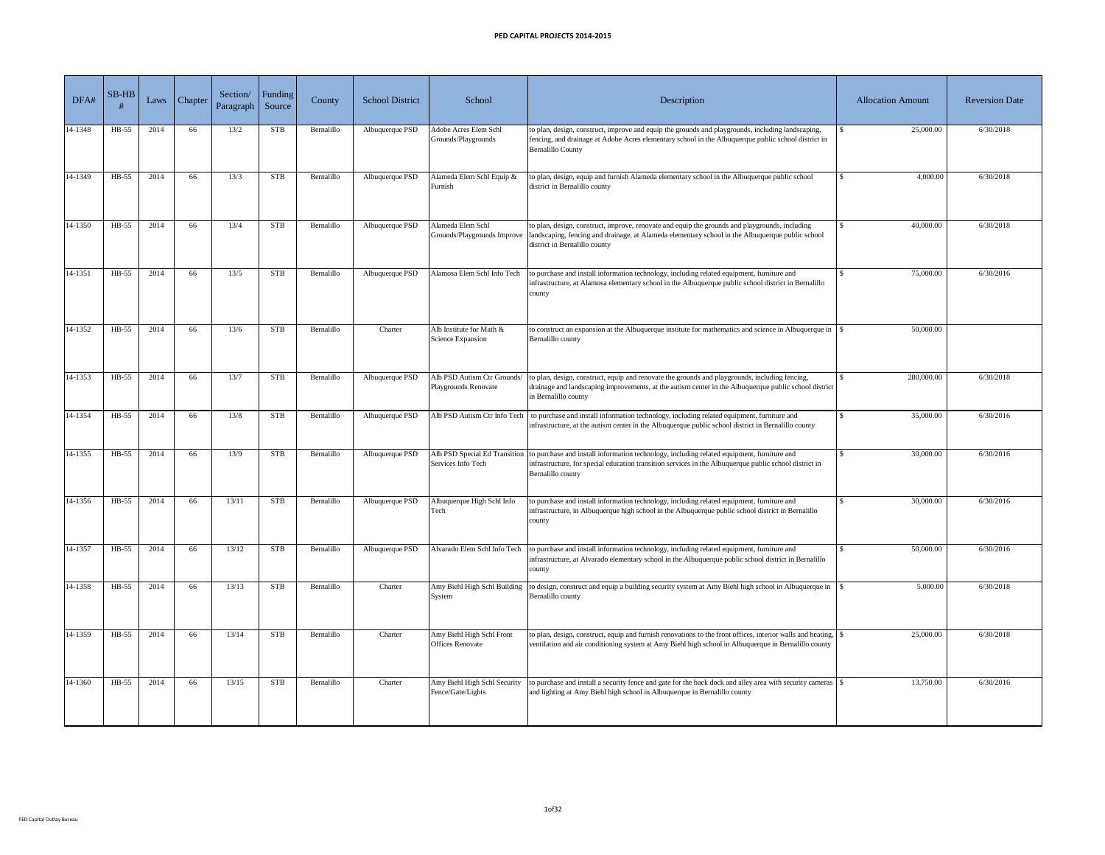| DFA#    | $SB-HB$ | Laws | Chapter | Section/<br>Paragraph | Funding<br>Source | County     | <b>School District</b> | School                                               | Description                                                                                                                                                                                                                                                 | <b>Allocation Amount</b> | <b>Reversion Date</b> |
|---------|---------|------|---------|-----------------------|-------------------|------------|------------------------|------------------------------------------------------|-------------------------------------------------------------------------------------------------------------------------------------------------------------------------------------------------------------------------------------------------------------|--------------------------|-----------------------|
| 14-1348 | $HB-55$ | 2014 | 66      | 13/2                  | <b>STB</b>        | Bernalillo | Albuquerque PSD        | Adobe Acres Elem Schl<br>Grounds/Playgrounds         | to plan, design, construct, improve and equip the grounds and playgrounds, including landscaping,<br>fencing, and drainage at Adobe Acres elementary school in the Albuquerque public school district in<br><b>Bernalillo County</b>                        | 25,000.00                | 6/30/2018             |
| 14-1349 | HB-55   | 2014 | 66      | 13/3                  | <b>STB</b>        | Bernalillo | Albuquerque PSD        | Alameda Elem Schl Equip &<br>Furnish                 | to plan, design, equip and furnish Alameda elementary school in the Albuquerque public school<br>district in Bernalillo county                                                                                                                              | 4,000.00<br>\$.          | 6/30/2018             |
| 14-1350 | HB-55   | 2014 | 66      | 13/4                  | <b>STB</b>        | Bernalillo | Albuquerque PSD        | Alameda Elem Schl<br>Grounds/Playgrounds Improve     | to plan, design, construct, improve, renovate and equip the grounds and playgrounds, including<br>landscaping, fencing and drainage, at Alameda elementary school in the Albuquerque public school<br>district in Bernalillo county                         | 40,000.00                | 6/30/2018             |
| 14-1351 | HB-55   | 2014 | 66      | 13/5                  | <b>STB</b>        | Bernalillo | Albuquerque PSD        | Alamosa Elem Schl Info Tech                          | to purchase and install information technology, including related equipment, furniture and<br>infrastructure, at Alamosa elementary school in the Albuquerque public school district in Bernalillo<br>county                                                | 75,000.00                | 6/30/2016             |
| 14-1352 | $HB-55$ | 2014 | 66      | 13/6                  | <b>STB</b>        | Bernalillo | Charter                | Alb Institute for Math &<br>Science Expansion        | to construct an expansion at the Albuquerque institute for mathematics and science in Albuquerque in $\frac{1}{s}$<br>Bernalillo county                                                                                                                     | 50,000.00                |                       |
| 14-1353 | $HB-55$ | 2014 | 66      | 13/7                  | <b>STB</b>        | Bernalillo | Albuquerque PSD        | Playgrounds Renovate                                 | Alb PSD Autism Ctr Grounds/ to plan, design, construct, equip and renovate the grounds and playgrounds, including fencing,<br>drainage and landscaping improvements, at the autism center in the Albuquerque public school district<br>in Bernalillo county | 280,000.00               | 6/30/2018             |
| 14-1354 | HB-55   | 2014 | 66      | 13/8                  | <b>STB</b>        | Bernalillo | Albuquerque PSD        | Alb PSD Autism Ctr Info Tech                         | to purchase and install information technology, including related equipment, furniture and<br>infrastructure, at the autism center in the Albuquerque public school district in Bernalillo county                                                           | 35,000.00                | 6/30/2016             |
| 14-1355 | HB-55   | 2014 | 66      | 13/9                  | <b>STB</b>        | Bernalillo | Albuquerque PSD        | Services Info Tech                                   | Alb PSD Special Ed Transition to purchase and install information technology, including related equipment, furniture and<br>infrastructure, for special education transition services in the Albuquerque public school district in<br>Bernalillo county     | 30,000.00                | 6/30/2016             |
| 14-1356 | $HB-55$ | 2014 | 66      | 13/11                 | <b>STB</b>        | Bernalillo | Albuquerque PSD        | Albuquerque High Schl Info<br>Fech                   | to purchase and install information technology, including related equipment, furniture and<br>infrastructure, in Albuquerque high school in the Albuquerque public school district in Bernalillo<br>county                                                  | 30,000.00                | 6/30/2016             |
| 14-1357 | HB-55   | 2014 | 66      | 13/12                 | <b>STB</b>        | Bernalillo | Albuquerque PSD        | Alvarado Elem Schl Info Tech                         | to purchase and install information technology, including related equipment, furniture and<br>infrastructure, at Alvarado elementary school in the Albuquerque public school district in Bernalillo<br>county                                               | 50,000.00                | 6/30/2016             |
| 14-1358 | $HB-55$ | 2014 | 66      | 13/13                 | <b>STB</b>        | Bernalillo | Charter                | Amy Biehl High Schl Building<br>System               | to design, construct and equip a building security system at Amy Biehl high school in Albuquerque in<br>Bernalillo county                                                                                                                                   | 5,000.00                 | 6/30/2018             |
| 14-1359 | HB-55   | 2014 | 66      | 13/14                 | <b>STB</b>        | Bernalillo | Charter                | Amy Biehl High Schl Front<br><b>Offices Renovate</b> | ventilation and air conditioning system at Amy Biehl high school in Albuquerque in Bernalillo county                                                                                                                                                        | 25,000.00                | 6/30/2018             |
| 14-1360 | HB-55   | 2014 | 66      | 13/15                 | <b>STB</b>        | Bernalillo | Charter                | Fence/Gate/Lights                                    | and lighting at Amy Biehl high school in Albuquerque in Bernalillo county                                                                                                                                                                                   | 13,750.00                | 6/30/2016             |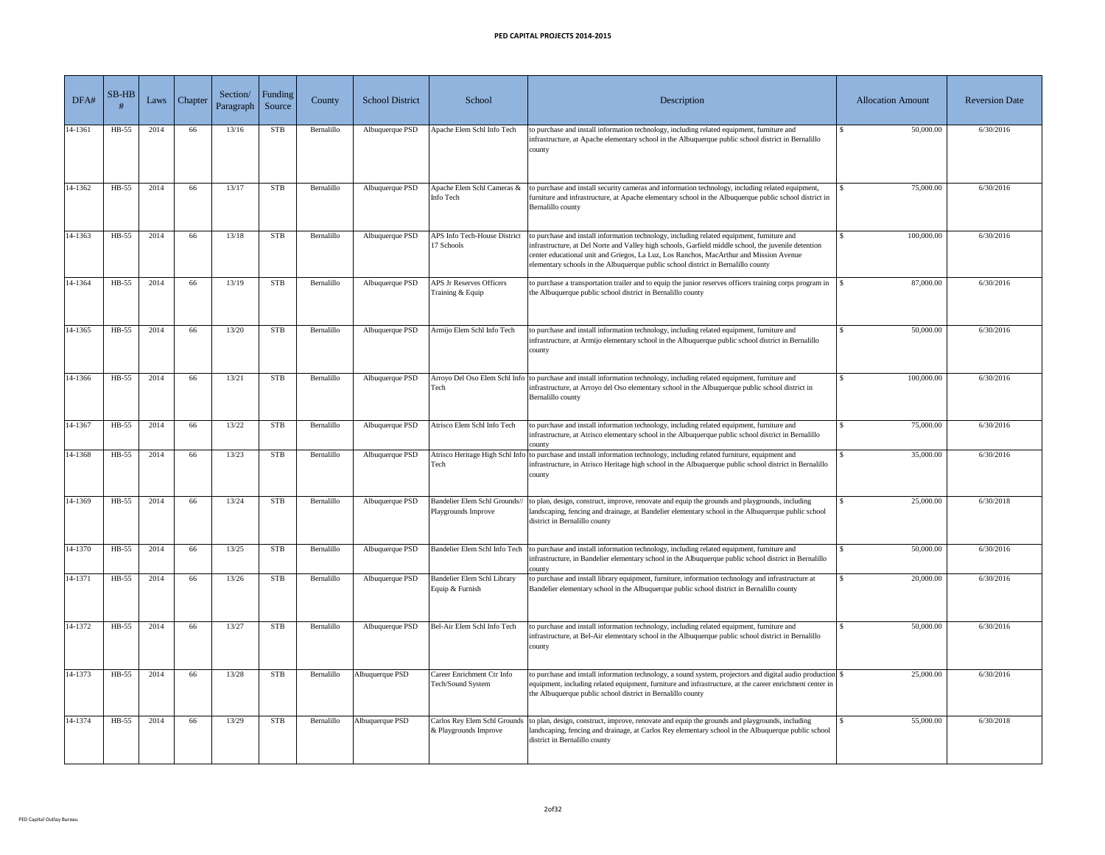| DFA#    | $SB-HB$ | Laws | Chapter | Section/<br>Paragraph | Funding<br>Source | County     | <b>School District</b> | School                                                | Description                                                                                                                                                                                                                                                                                                                                                                       | <b>Allocation Amount</b> | <b>Reversion Date</b> |
|---------|---------|------|---------|-----------------------|-------------------|------------|------------------------|-------------------------------------------------------|-----------------------------------------------------------------------------------------------------------------------------------------------------------------------------------------------------------------------------------------------------------------------------------------------------------------------------------------------------------------------------------|--------------------------|-----------------------|
| 14-1361 | HB-55   | 2014 | 66      | 13/16                 | <b>STB</b>        | Bernalillo | Albuquerque PSD        | Apache Elem Schl Info Tech                            | to purchase and install information technology, including related equipment, furniture and<br>infrastructure, at Apache elementary school in the Albuquerque public school district in Bernalillo<br>county                                                                                                                                                                       | 50,000.00                | 6/30/2016             |
| 14-1362 | HB-55   | 2014 | 66      | 13/17                 | <b>STB</b>        | Bernalillo | Albuquerque PSD        | Apache Elem Schl Cameras &<br>Info Tech               | to purchase and install security cameras and information technology, including related equipment,<br>furniture and infrastructure, at Apache elementary school in the Albuquerque public school district in<br>Bernalillo county                                                                                                                                                  | 75,000.00                | 6/30/2016             |
| 14-1363 | HB-55   | 2014 | 66      | 13/18                 | <b>STB</b>        | Bernalillo | Albuquerque PSD        | <b>APS Info Tech-House District</b><br>17 Schools     | to purchase and install information technology, including related equipment, furniture and<br>infrastructure, at Del Norte and Valley high schools, Garfield middle school, the juvenile detention<br>center educational unit and Griegos, La Luz, Los Ranchos, MacArthur and Mission Avenue<br>elementary schools in the Albuquerque public school district in Bernalillo county | 100,000.00               | 6/30/2016             |
| 14-1364 | HB-55   | 2014 | 66      | 13/19                 | <b>STB</b>        | Bernalillo | Albuquerque PSD        | <b>APS Jr Reserves Officers</b><br>Training & Equip   | to purchase a transportation trailer and to equip the junior reserves officers training corps program in<br>the Albuquerque public school district in Bernalillo county                                                                                                                                                                                                           | 87,000.00                | 6/30/2016             |
| 14-1365 | $HB-55$ | 2014 | 66      | 13/20                 | <b>STB</b>        | Bernalillo | Albuquerque PSD        | Armijo Elem Schl Info Tech                            | to purchase and install information technology, including related equipment, furniture and<br>infrastructure, at Armijo elementary school in the Albuquerque public school district in Bernalillo<br>county                                                                                                                                                                       | 50,000.00                | 6/30/2016             |
| 14-1366 | $HB-55$ | 2014 | 66      | 13/21                 | <b>STB</b>        | Bernalillo | Albuquerque PSD        | Tech                                                  | Arroyo Del Oso Elem Schl Info to purchase and install information technology, including related equipment, furniture and<br>infrastructure, at Arroyo del Oso elementary school in the Albuquerque public school district in<br>Bernalillo county                                                                                                                                 | 100,000.00               | 6/30/2016             |
| 14-1367 | HB-55   | 2014 | 66      | 13/22                 | <b>STB</b>        | Bernalillo | Albuquerque PSD        | Atrisco Elem Schl Info Tech                           | to purchase and install information technology, including related equipment, furniture and<br>infrastructure, at Atrisco elementary school in the Albuquerque public school district in Bernalillo                                                                                                                                                                                | 75,000.00                | 6/30/2016             |
| 14-1368 | $HB-55$ | 2014 | 66      | 13/23                 | <b>STB</b>        | Bernalillo | Albuquerque PSD        | Tech                                                  | Atrisco Heritage High Schl Info to purchase and install information technology, including related furniture, equipment and<br>infrastructure, in Atrisco Heritage high school in the Albuquerque public school district in Bernalillo<br>county                                                                                                                                   | 35,000.00                | 6/30/2016             |
| 14-1369 | HB-55   | 2014 | 66      | 13/24                 | <b>STB</b>        | Bernalillo | Albuquerque PSD        | Bandelier Elem Schl Grounds//<br>Playgrounds Improve  | to plan, design, construct, improve, renovate and equip the grounds and playgrounds, including<br>landscaping, fencing and drainage, at Bandelier elementary school in the Albuquerque public school<br>district in Bernalillo county                                                                                                                                             | 25,000.00                | 6/30/2018             |
| 14-1370 | $HB-55$ | 2014 | 66      | 13/25                 | <b>STB</b>        | Bernalillo | Albuquerque PSD        |                                                       | Bandelier Elem Schl Info Tech to purchase and install information technology, including related equipment, furniture and<br>infrastructure, in Bandelier elementary school in the Albuquerque public school district in Bernalillo<br>county                                                                                                                                      | 50,000.00                | 6/30/2016             |
| 14-1371 | $HB-55$ | 2014 | 66      | 13/26                 | <b>STB</b>        | Bernalillo | Albuquerque PSD        | <b>Bandelier Elem Schl Library</b><br>Equip & Furnish | to purchase and install library equipment, furniture, information technology and infrastructure at<br>Bandelier elementary school in the Albuquerque public school district in Bernalillo county                                                                                                                                                                                  | 20,000.00                | 6/30/2016             |
| 14-1372 | $HB-55$ | 2014 | 66      | 13/27                 | <b>STB</b>        | Bernalillo | Albuquerque PSD        | Bel-Air Elem Schl Info Tech                           | to purchase and install information technology, including related equipment, furniture and<br>infrastructure, at Bel-Air elementary school in the Albuquerque public school district in Bernalillo<br>county                                                                                                                                                                      | 50,000.00                | 6/30/2016             |
| 14-1373 | $HB-55$ | 2014 | 66      | 13/28                 | <b>STB</b>        | Bernalillo | Albuquerque PSD        | Career Enrichment Ctr Info<br>Tech/Sound System       | to purchase and install information technology, a sound system, projectors and digital audio production<br>equipment, including related equipment, furniture and infrastructure, at the career enrichment center in<br>the Albuquerque public school district in Bernalillo county                                                                                                | 25,000.00                | 6/30/2016             |
| 14-1374 | $HB-55$ | 2014 | 66      | 13/29                 | <b>STB</b>        | Bernalillo | Albuquerque PSD        | & Playgrounds Improve                                 | Carlos Rey Elem Schl Grounds to plan, design, construct, improve, renovate and equip the grounds and playgrounds, including<br>landscaping, fencing and drainage, at Carlos Rey elementary school in the Albuquerque public school<br>district in Bernalillo county                                                                                                               | 55,000.00                | 6/30/2018             |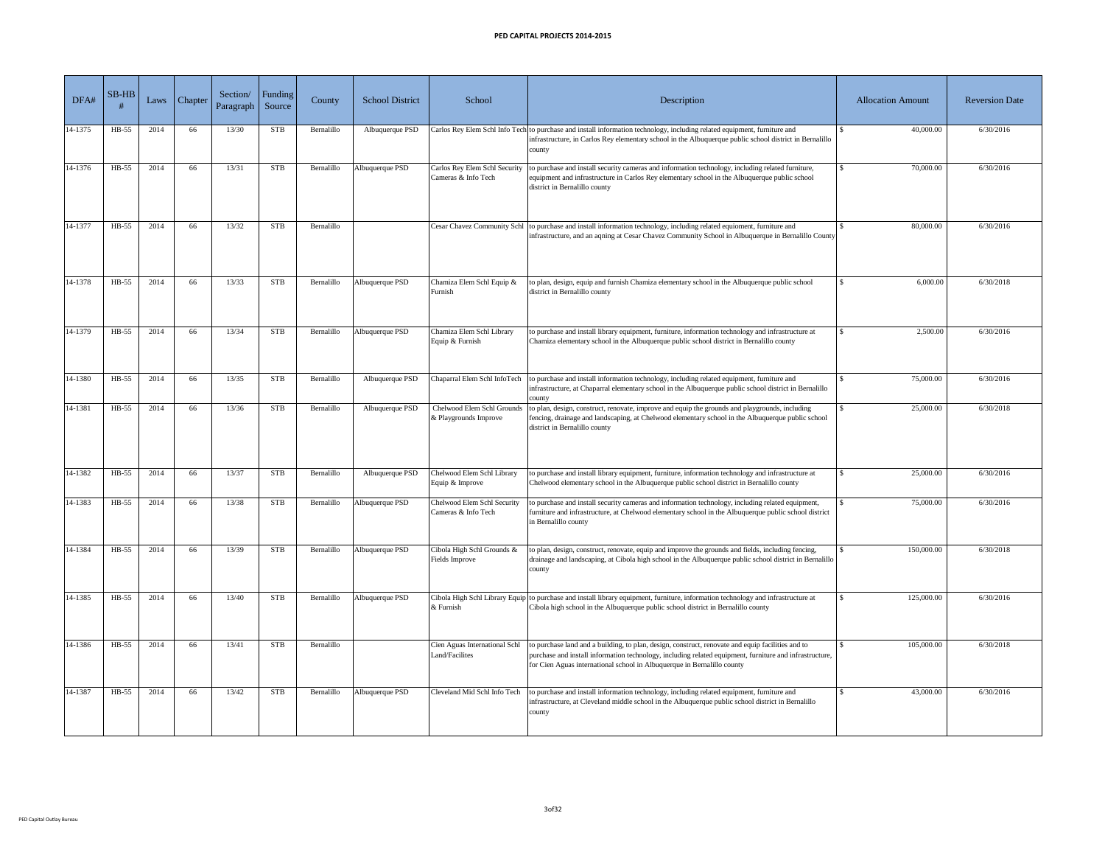| DFA#    | $SB-HB$ | Laws | Chapter | Section/<br>Paragraph | Funding<br>Source | County     | <b>School District</b> | School                                               | Description                                                                                                                                                                                                                                                                             | <b>Allocation Amount</b> | <b>Reversion Date</b> |
|---------|---------|------|---------|-----------------------|-------------------|------------|------------------------|------------------------------------------------------|-----------------------------------------------------------------------------------------------------------------------------------------------------------------------------------------------------------------------------------------------------------------------------------------|--------------------------|-----------------------|
| 14-1375 | HB-55   | 2014 | 66      | 13/30                 | <b>STB</b>        | Bernalillo | Albuquerque PSD        |                                                      | Carlos Rey Elem Schl Info Tech to purchase and install information technology, including related equipment, furniture and<br>infrastructure, in Carlos Rey elementary school in the Albuquerque public school district in Bernalillo<br>county                                          | 40,000.00                | 6/30/2016             |
| 14-1376 | HB-55   | 2014 | 66      | 13/31                 | <b>STB</b>        | Bernalillo | Albuquerque PSD        | Carlos Rey Elem Schl Security<br>Cameras & Info Tech | to purchase and install security cameras and information technology, including related furniture,<br>equipment and infrastructure in Carlos Rey elementary school in the Albuquerque public school<br>district in Bernalillo county                                                     | 70,000.00                | 6/30/2016             |
| 14-1377 | HB-55   | 2014 | 66      | 13/32                 | <b>STB</b>        | Bernalillo |                        |                                                      | Cesar Chavez Community Schl to purchase and install information technology, including related equioment, furniture and<br>infrastructure, and an aqning at Cesar Chavez Community School in Albuquerque in Bernalillo County                                                            | 80,000.00                | 6/30/2016             |
| 14-1378 | HB-55   | 2014 | 66      | 13/33                 | <b>STB</b>        | Bernalillo | Albuquerque PSD        | Chamiza Elem Schl Equip &<br>Furnish                 | to plan, design, equip and furnish Chamiza elementary school in the Albuquerque public school<br>district in Bernalillo county                                                                                                                                                          | 6,000.00                 | 6/30/2018             |
| 14-1379 | $HB-55$ | 2014 | 66      | 13/34                 | <b>STB</b>        | Bernalillo | Albuquerque PSD        | Chamiza Elem Schl Library<br>Equip & Furnish         | to purchase and install library equipment, furniture, information technology and infrastructure at<br>Chamiza elementary school in the Albuquerque public school district in Bernalillo county                                                                                          | 2,500.00                 | 6/30/2016             |
| 14-1380 | $HB-55$ | 2014 | 66      | 13/35                 | <b>STB</b>        | Bernalillo | Albuquerque PSD        |                                                      | Chaparral Elem Schl InfoTech to purchase and install information technology, including related equipment, furniture and<br>infrastructure, at Chaparral elementary school in the Albuquerque public school district in Bernalillo<br>county                                             | 75,000.00                | 6/30/2016             |
| 14-1381 | $HB-55$ | 2014 | 66      | 13/36                 | <b>STB</b>        | Bernalillo | Albuquerque PSD        | Chelwood Elem Schl Grounds<br>& Playgrounds Improve  | to plan, design, construct, renovate, improve and equip the grounds and playgrounds, including<br>fencing, drainage and landscaping, at Chelwood elementary school in the Albuquerque public school<br>district in Bernalillo county                                                    | 25,000.00                | 6/30/2018             |
| 14-1382 | HB-55   | 2014 | 66      | 13/37                 | <b>STB</b>        | Bernalillo | Albuquerque PSD        | Chelwood Elem Schl Library<br>Equip & Improve        | to purchase and install library equipment, furniture, information technology and infrastructure at<br>Chelwood elementary school in the Albuquerque public school district in Bernalillo county                                                                                         | 25,000.00                | 6/30/2016             |
| 14-1383 | $HB-55$ | 2014 | 66      | 13/38                 | <b>STB</b>        | Bernalillo | Albuquerque PSD        | Chelwood Elem Schl Security<br>Cameras & Info Tech   | to purchase and install security cameras and information technology, including related equipment,<br>furniture and infrastructure, at Chelwood elementary school in the Albuquerque public school district<br>in Bernalillo county                                                      | 75,000.00                | 6/30/2016             |
| 14-1384 | $HB-55$ | 2014 | 66      | 13/39                 | <b>STB</b>        | Bernalillo | Albuquerque PSD        | Cibola High Schl Grounds &<br><b>Fields Improve</b>  | to plan, design, construct, renovate, equip and improve the grounds and fields, including fencing,<br>drainage and landscaping, at Cibola high school in the Albuquerque public school district in Bernalillo<br>county                                                                 | 150,000.00               | 6/30/2018             |
| 14-1385 | $HB-55$ | 2014 | 66      | 13/40                 | <b>STB</b>        | Bernalillo | Albuquerque PSD        | & Furnish                                            | Cibola High Schl Library Equip to purchase and install library equipment, furniture, information technology and infrastructure at<br>Cibola high school in the Albuquerque public school district in Bernalillo county                                                                  | 125,000.00               | 6/30/2016             |
| 14-1386 | $HB-55$ | 2014 | 66      | 13/41                 | <b>STB</b>        | Bernalillo |                        | Cien Aguas International Schl<br>Land/Facilites      | to purchase land and a building, to plan, design, construct, renovate and equip facilities and to<br>purchase and install information technology, including related equipment, furniture and infrastructure,<br>for Cien Aguas international school in Albuquerque in Bernalillo county | 105,000.00               | 6/30/2018             |
| 14-1387 | $HB-55$ | 2014 | 66      | 13/42                 | <b>STB</b>        | Bernalillo | Albuquerque PSD        |                                                      | Cleveland Mid Schl Info Tech to purchase and install information technology, including related equipment, furniture and<br>infrastructure, at Cleveland middle school in the Albuquerque public school district in Bernalillo<br>county                                                 | 43,000.00                | 6/30/2016             |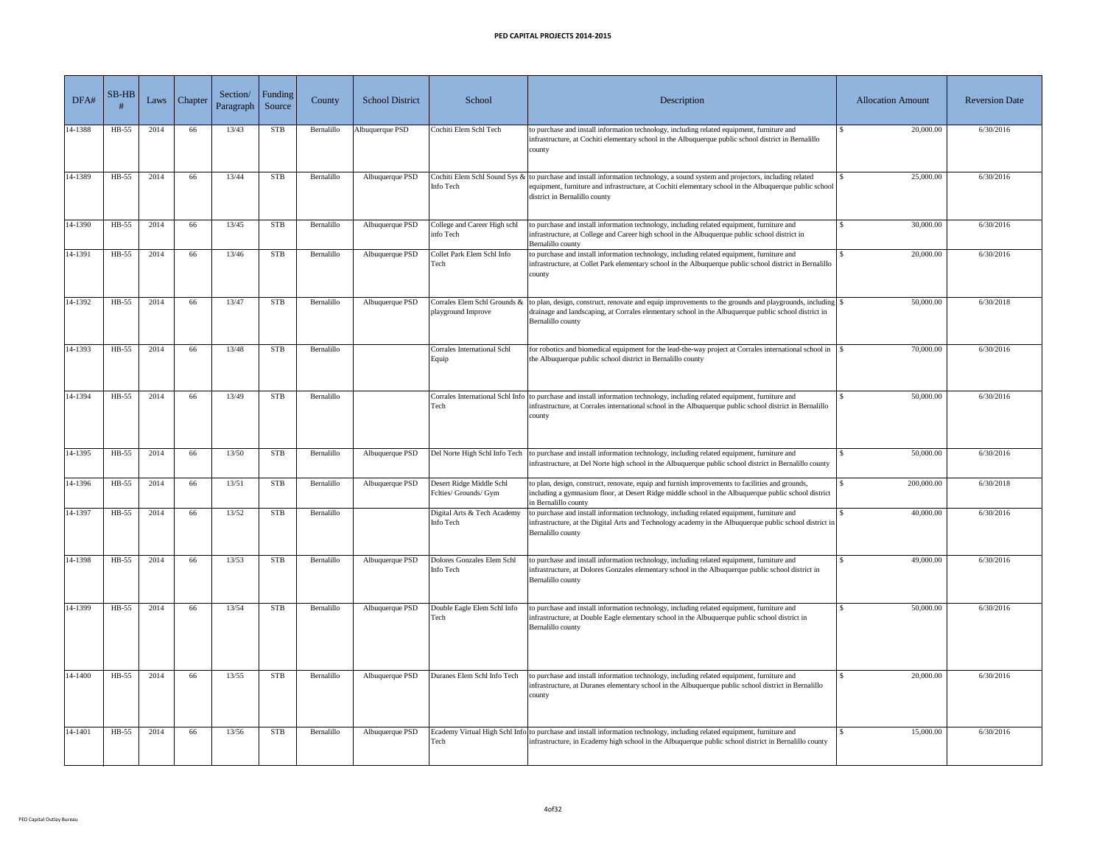| DFA#    | $SB-HB$ | Laws | Chapter <sup>1</sup> | Section/<br>Paragraph | Funding<br>Source | County     | <b>School District</b> | School                                            | Description                                                                                                                                                                                                                                                                       | <b>Allocation Amount</b> | <b>Reversion Date</b> |
|---------|---------|------|----------------------|-----------------------|-------------------|------------|------------------------|---------------------------------------------------|-----------------------------------------------------------------------------------------------------------------------------------------------------------------------------------------------------------------------------------------------------------------------------------|--------------------------|-----------------------|
| 14-1388 | HB-55   | 2014 | 66                   | 13/43                 | <b>STB</b>        | Bernalillo | Albuquerque PSD        | Cochiti Elem Schl Tech                            | to purchase and install information technology, including related equipment, furniture and<br>infrastructure, at Cochiti elementary school in the Albuquerque public school district in Bernalillo<br>county                                                                      | 20,000.00                | 6/30/2016             |
| 14-1389 | $HB-55$ | 2014 | 66                   | 13/44                 | <b>STB</b>        | Bernalillo | Albuquerque PSD        | Info Tech                                         | Cochiti Elem Schl Sound Sys & to purchase and install information technology, a sound system and projectors, including related<br>equipment, furniture and infrastructure, at Cochiti elementary school in the Albuquerque public school<br>district in Bernalillo county         | 25,000.00                | 6/30/2016             |
| 14-1390 | $HB-55$ | 2014 | 66                   | 13/45                 | <b>STB</b>        | Bernalillo | Albuquerque PSD        | College and Career High schl<br>info Tech         | to purchase and install information technology, including related equipment, furniture and<br>infrastructure, at College and Career high school in the Albuquerque public school district in<br>Bernalillo county                                                                 | 30,000.00                | 6/30/2016             |
| 14-1391 | HB-55   | 2014 | 66                   | 13/46                 | <b>STB</b>        | Bernalillo | Albuquerque PSD        | Collet Park Elem Schl Info<br>Tech                | to purchase and install information technology, including related equipment, furniture and<br>infrastructure, at Collet Park elementary school in the Albuquerque public school district in Bernalillo<br>county                                                                  | 20,000.00                | 6/30/2016             |
| 14-1392 | HB-55   | 2014 | 66                   | 13/47                 | <b>STB</b>        | Bernalillo | Albuquerque PSD        | playground Improve                                | Corrales Elem Schl Grounds & $\vert$ to plan, design, construct, renovate and equip improvements to the grounds and playgrounds, including $\vert \$<br>drainage and landscaping, at Corrales elementary school in the Albuquerque public school district in<br>Bernalillo county | 50,000.00                | 6/30/2018             |
| 14-1393 | $HB-55$ | 2014 | 66                   | 13/48                 | <b>STB</b>        | Bernalillo |                        | <b>Corrales International Schl</b><br>Equip       | for robotics and biomedical equipment for the lead-the-way project at Corrales international school in<br>the Albuquerque public school district in Bernalillo county                                                                                                             | 70,000.00                | 6/30/2016             |
| 14-1394 | HB-55   | 2014 | 66                   | 13/49                 | <b>STB</b>        | Bernalillo |                        | Tech                                              | Corrales International Schl Info to purchase and install information technology, including related equipment, furniture and<br>infrastructure, at Corrales international school in the Albuquerque public school district in Bernalillo<br>county                                 | 50,000.00                | 6/30/2016             |
| 14-1395 | $HB-55$ | 2014 | 66                   | 13/50                 | <b>STB</b>        | Bernalillo | Albuquerque PSD        |                                                   | Del Norte High Schl Info Tech to purchase and install information technology, including related equipment, furniture and<br>infrastructure, at Del Norte high school in the Albuquerque public school district in Bernalillo county                                               | 50,000.00                | 6/30/2016             |
| 14-1396 | $HB-55$ | 2014 | 66                   | 13/51                 | <b>STB</b>        | Bernalillo | Albuquerque PSD        | Desert Ridge Middle Schl<br>Felties/ Grounds/ Gym | to plan, design, construct, renovate, equip and furnish improvements to facilities and grounds,<br>including a gymnasium floor, at Desert Ridge middle school in the Albuquerque public school district<br>in Bernalillo county                                                   | 200,000.00               | 6/30/2018             |
| 14-1397 | HB-55   | 2014 | 66                   | 13/52                 | <b>STB</b>        | Bernalillo |                        | Digital Arts & Tech Academy<br>Info Tech          | to purchase and install information technology, including related equipment, furniture and<br>infrastructure, at the Digital Arts and Technology academy in the Albuquerque public school district in<br>Bernalillo county                                                        | 40,000.00                | 6/30/2016             |
| 14-1398 | $HB-55$ | 2014 | 66                   | 13/53                 | <b>STB</b>        | Bernalillo | Albuquerque PSD        | Dolores Gonzales Elem Schl<br>Info Tech           | to purchase and install information technology, including related equipment, furniture and<br>infrastructure, at Dolores Gonzales elementary school in the Albuquerque public school district in<br>Bernalillo county                                                             | 49,000.00                | 6/30/2016             |
| 14-1399 | $HB-55$ | 2014 | 66                   | 13/54                 | <b>STB</b>        | Bernalillo | Albuquerque PSD        | Double Eagle Elem Schl Info<br>Tech               | to purchase and install information technology, including related equipment, furniture and<br>infrastructure, at Double Eagle elementary school in the Albuquerque public school district in<br>Bernalillo county                                                                 | 50,000.00                | 6/30/2016             |
| 14-1400 | $HB-55$ | 2014 | 66                   | 13/55                 | <b>STB</b>        | Bernalillo | Albuquerque PSD        | Duranes Elem Schl Info Tech                       | to purchase and install information technology, including related equipment, furniture and<br>infrastructure, at Duranes elementary school in the Albuquerque public school district in Bernalillo<br>county                                                                      | 20,000.00                | 6/30/2016             |
| 14-1401 | $HB-55$ | 2014 | 66                   | 13/56                 | <b>STB</b>        | Bernalillo | Albuquerque PSD        | Tech                                              | Ecademy Virtual High Schl Info to purchase and install information technology, including related equipment, furniture and<br>infrastructure, in Ecademy high school in the Albuquerque public school district in Bernalillo county                                                | 15,000.00                | 6/30/2016             |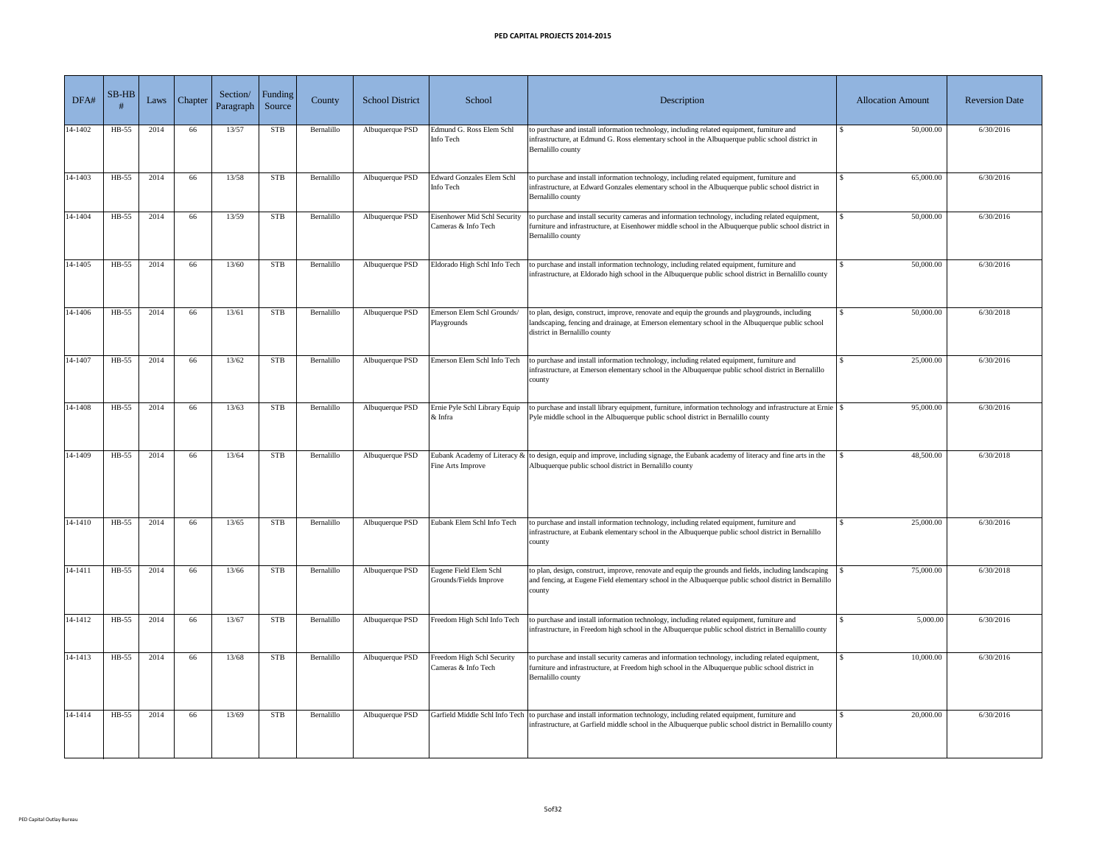| DFA#        | $SB-HB$ | Laws | Chapter | Section/<br>Paragraph | Funding<br>Source | County     | <b>School District</b> | School                                                     | Description                                                                                                                                                                                                                           | <b>Allocation Amount</b> | <b>Reversion Date</b> |
|-------------|---------|------|---------|-----------------------|-------------------|------------|------------------------|------------------------------------------------------------|---------------------------------------------------------------------------------------------------------------------------------------------------------------------------------------------------------------------------------------|--------------------------|-----------------------|
| 14-1402     | HB-55   | 2014 | 66      | 13/57                 | <b>STB</b>        | Bernalillo | Albuquerque PSD        | Edmund G. Ross Elem Schl<br>Info Tech                      | to purchase and install information technology, including related equipment, furniture and<br>infrastructure, at Edmund G. Ross elementary school in the Albuquerque public school district in<br>Bernalillo county                   | 50,000.00                | 6/30/2016             |
| 14-1403     | HB-55   | 2014 | 66      | 13/58                 | <b>STB</b>        | Bernalillo | Albuquerque PSD        | Edward Gonzales Elem Schl<br>Info Tech                     | to purchase and install information technology, including related equipment, furniture and<br>infrastructure, at Edward Gonzales elementary school in the Albuquerque public school district in<br>Bernalillo county                  | 65,000.00                | 6/30/2016             |
| 14-1404     | $HB-55$ | 2014 | 66      | 13/59                 | <b>STB</b>        | Bernalillo | Albuquerque PSD        | <b>Eisenhower Mid Schl Security</b><br>Cameras & Info Tech | to purchase and install security cameras and information technology, including related equipment,<br>furniture and infrastructure, at Eisenhower middle school in the Albuquerque public school district in<br>Bernalillo county      | 50,000.00                | 6/30/2016             |
| 14-1405     | $HB-55$ | 2014 | 66      | 13/60                 | <b>STB</b>        | Bernalillo | Albuquerque PSD        | Eldorado High Schl Info Tech                               | to purchase and install information technology, including related equipment, furniture and<br>infrastructure, at Eldorado high school in the Albuquerque public school district in Bernalillo county                                  | 50,000.00                | 6/30/2016             |
| 14-1406     | HB-55   | 2014 | 66      | 13/61                 | <b>STB</b>        | Bernalillo | Albuquerque PSD        | Emerson Elem Schl Grounds/<br>Playgrounds                  | to plan, design, construct, improve, renovate and equip the grounds and playgrounds, including<br>landscaping, fencing and drainage, at Emerson elementary school in the Albuquerque public school<br>district in Bernalillo county   | 50,000.00                | 6/30/2018             |
| 14-1407     | HB-55   | 2014 | 66      | 13/62                 | <b>STB</b>        | Bernalillo | Albuquerque PSD        | Emerson Elem Schl Info Tech                                | to purchase and install information technology, including related equipment, furniture and<br>infrastructure, at Emerson elementary school in the Albuquerque public school district in Bernalillo<br><b>r</b> county                 | 25,000.00                | 6/30/2016             |
| 14-1408     | HB-55   | 2014 | 66      | 13/63                 | <b>STB</b>        | Bernalillo | Albuquerque PSD        | Ernie Pyle Schl Library Equip<br>$&$ Infra                 | to purchase and install library equipment, furniture, information technology and infrastructure at Ernie<br>Pyle middle school in the Albuquerque public school district in Bernalillo county                                         | 95,000.00                | 6/30/2016             |
| 14-1409     | $HB-55$ | 2014 | 66      | 13/64                 | <b>STB</b>        | Bernalillo | Albuquerque PSD        | Fine Arts Improve                                          | Eubank Academy of Literacy $\&$ to design, equip and improve, including signage, the Eubank academy of literacy and fine arts in the<br>Albuquerque public school district in Bernalillo county                                       | 48,500.00                | 6/30/2018             |
| 14-1410     | $HB-55$ | 2014 | 66      | 13/65                 | <b>STB</b>        | Bernalillo | Albuquerque PSD        | Eubank Elem Schl Info Tech                                 | to purchase and install information technology, including related equipment, furniture and<br>infrastructure, at Eubank elementary school in the Albuquerque public school district in Bernalillo<br>county                           | 25,000.00                | 6/30/2016             |
| $14 - 1411$ | $HB-55$ | 2014 | 66      | 13/66                 | <b>STB</b>        | Bernalillo | Albuquerque PSD        | Eugene Field Elem Schl<br>Grounds/Fields Improve           | to plan, design, construct, improve, renovate and equip the grounds and fields, including landscaping<br>and fencing, at Eugene Field elementary school in the Albuquerque public school district in Bernalillo<br>county             | 75,000.00                | 6/30/2018             |
| 14-1412     | $HB-55$ | 2014 | 66      | 13/67                 | <b>STB</b>        | Bernalillo | Albuquerque PSD        | Freedom High Schl Info Tech                                | to purchase and install information technology, including related equipment, furniture and<br>infrastructure, in Freedom high school in the Albuquerque public school district in Bernalillo county                                   | 5,000.00                 | 6/30/2016             |
| 14-1413     | HB-55   | 2014 | 66      | 13/68                 | <b>STB</b>        | Bernalillo | Albuquerque PSD        | Freedom High Schl Security<br>Cameras & Info Tech          | to purchase and install security cameras and information technology, including related equipment,<br>furniture and infrastructure, at Freedom high school in the Albuquerque public school district in<br>Bernalillo county           | 10,000.00                | 6/30/2016             |
| 14-1414     | $HB-55$ | 2014 | 66      | 13/69                 | <b>STB</b>        | Bernalillo | Albuquerque PSD        |                                                            | Garfield Middle Schl Info Tech to purchase and install information technology, including related equipment, furniture and<br>infrastructure, at Garfield middle school in the Albuquerque public school district in Bernalillo county | 20,000.00                | 6/30/2016             |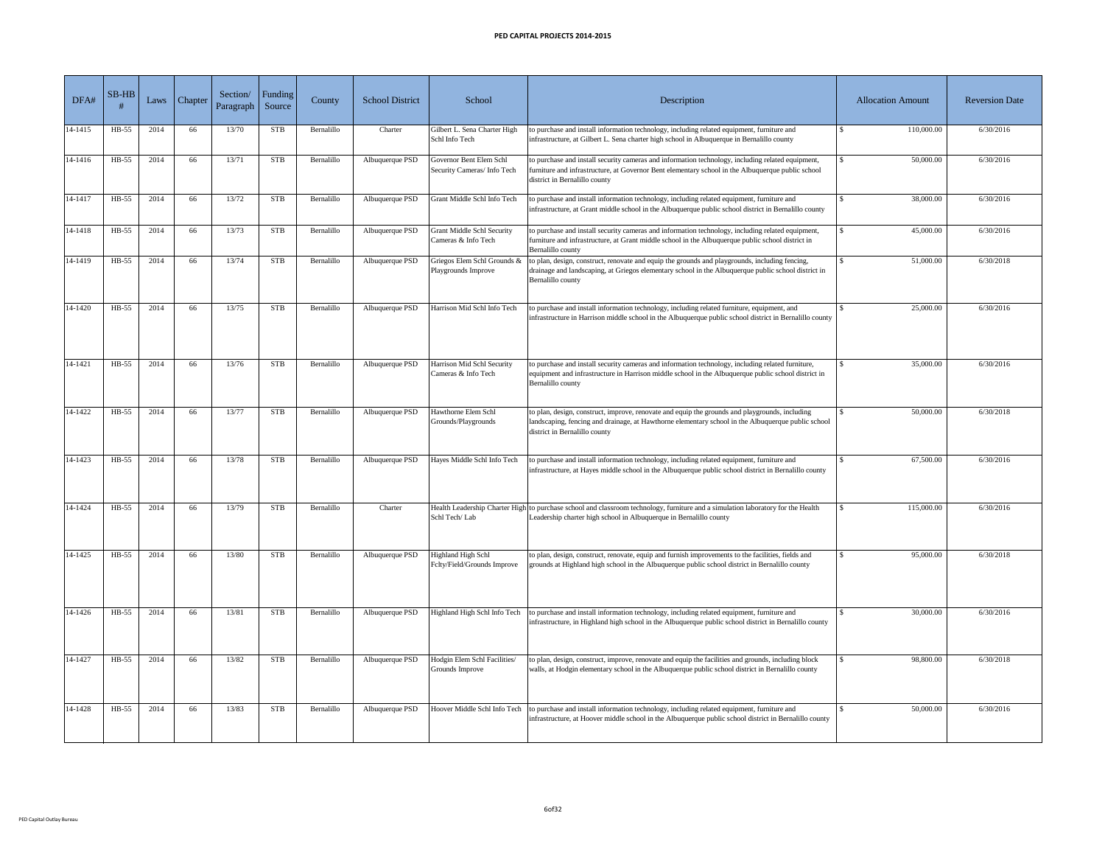| DFA#    | $SB-HB$ | Laws | <b>Chapter</b> | Section/<br>Paragraph | <b>Funding</b><br>Source | County     | <b>School District</b> | School                                                   | Description                                                                                                                                                                                                                             | <b>Allocation Amount</b> | <b>Reversion Date</b> |
|---------|---------|------|----------------|-----------------------|--------------------------|------------|------------------------|----------------------------------------------------------|-----------------------------------------------------------------------------------------------------------------------------------------------------------------------------------------------------------------------------------------|--------------------------|-----------------------|
| 14-1415 | HB-55   | 2014 | 66             | 13/70                 | <b>STB</b>               | Bernalillo | Charter                | Gilbert L. Sena Charter High<br>Schl Info Tech           | to purchase and install information technology, including related equipment, furniture and<br>infrastructure, at Gilbert L. Sena charter high school in Albuquerque in Bernalillo county                                                | 110,000.00               | 6/30/2016             |
| 14-1416 | $HB-55$ | 2014 | 66             | 13/71                 | <b>STB</b>               | Bernalillo | Albuquerque PSD        | Governor Bent Elem Schl<br>Security Cameras/ Info Tech   | to purchase and install security cameras and information technology, including related equipment,<br>furniture and infrastructure, at Governor Bent elementary school in the Albuquerque public school<br>district in Bernalillo county | 50,000.00                | 6/30/2016             |
| 14-1417 | $HB-55$ | 2014 | 66             | 13/72                 | <b>STB</b>               | Bernalillo | Albuquerque PSD        | Grant Middle Schl Info Tech                              | to purchase and install information technology, including related equipment, furniture and<br>infrastructure, at Grant middle school in the Albuquerque public school district in Bernalillo county                                     | 38,000.00                | 6/30/2016             |
| 14-1418 | HB-55   | 2014 | 66             | 13/73                 | <b>STB</b>               | Bernalillo | Albuquerque PSD        | <b>Grant Middle Schl Security</b><br>Cameras & Info Tech | to purchase and install security cameras and information technology, including related equipment,<br>furniture and infrastructure, at Grant middle school in the Albuquerque public school district in<br>Bernalillo county             | 45,000.00                | 6/30/2016             |
| 14-1419 | $HB-55$ | 2014 | 66             | 13/74                 | <b>STB</b>               | Bernalillo | Albuquerque PSD        | Griegos Elem Schl Grounds &<br>Playgrounds Improve       | to plan, design, construct, renovate and equip the grounds and playgrounds, including fencing,<br>drainage and landscaping, at Griegos elementary school in the Albuquerque public school district in<br>Bernalillo county              | 51,000.00                | 6/30/2018             |
| 14-1420 | $HB-55$ | 2014 | 66             | 13/75                 | <b>STB</b>               | Bernalillo | Albuquerque PSD        | Harrison Mid Schl Info Tech                              | to purchase and install information technology, including related furniture, equipment, and<br>infrastructure in Harrison middle school in the Albuquerque public school district in Bernalillo county                                  | 25,000.00                | 6/30/2016             |
| 14-1421 | $HB-55$ | 2014 | 66             | 13/76                 | <b>STB</b>               | Bernalillo | Albuquerque PSD        | Harrison Mid Schl Security<br>Cameras & Info Tech        | to purchase and install security cameras and information technology, including related furniture,<br>equipment and infrastructure in Harrison middle school in the Albuquerque public school district in<br>Bernalillo county           | 35,000.00                | 6/30/2016             |
| 14-1422 | HB-55   | 2014 | 66             | 13/77                 | <b>STB</b>               | Bernalillo | Albuquerque PSD        | Hawthorne Elem Schl<br>Grounds/Playgrounds               | to plan, design, construct, improve, renovate and equip the grounds and playgrounds, including<br>landscaping, fencing and drainage, at Hawthorne elementary school in the Albuquerque public school<br>district in Bernalillo county   | 50,000.00                | 6/30/2018             |
| 14-1423 | HB-55   | 2014 | 66             | 13/78                 | <b>STB</b>               | Bernalillo | Albuquerque PSD        | Hayes Middle Schl Info Tech                              | to purchase and install information technology, including related equipment, furniture and<br>infrastructure, at Hayes middle school in the Albuquerque public school district in Bernalillo county                                     | 67,500.00                | 6/30/2016             |
| 14-1424 | $HB-55$ | 2014 | 66             | 13/79                 | <b>STB</b>               | Bernalillo | Charter                | Schl Tech/Lab                                            | Health Leadership Charter High to purchase school and classroom technology, furniture and a simulation laboratory for the Health<br>Leadership charter high school in Albuquerque in Bernalillo county                                  | 115,000.00               | 6/30/2016             |
| 14-1425 | HB-55   | 2014 | 66             | 13/80                 | <b>STB</b>               | Bernalillo | Albuquerque PSD        | Highland High Schl<br>Felty/Field/Grounds Improve        | to plan, design, construct, renovate, equip and furnish improvements to the facilities, fields and<br>grounds at Highland high school in the Albuquerque public school district in Bernalillo county                                    | 95,000.00                | 6/30/2018             |
| 14-1426 | HB-55   | 2014 | 66             | 13/81                 | <b>STB</b>               | Bernalillo | Albuquerque PSD        | Highland High Schl Info Tech                             | to purchase and install information technology, including related equipment, furniture and<br>infrastructure, in Highland high school in the Albuquerque public school district in Bernalillo county                                    | 30,000.00                | 6/30/2016             |
| 14-1427 | HB-55   | 2014 | 66             | 13/82                 | <b>STB</b>               | Bernalillo | Albuquerque PSD        | Hodgin Elem Schl Facilities/<br>Grounds Improve          | to plan, design, construct, improve, renovate and equip the facilities and grounds, including block<br>walls, at Hodgin elementary school in the Albuquerque public school district in Bernalillo county                                | 98,800.00                | 6/30/2018             |
| 14-1428 | $HB-55$ | 2014 | 66             | 13/83                 | <b>STB</b>               | Bernalillo | Albuquerque PSD        |                                                          | Hoover Middle Schl Info Tech to purchase and install information technology, including related equipment, furniture and<br>infrastructure, at Hoover middle school in the Albuquerque public school district in Bernalillo county       | 50,000.00                | 6/30/2016             |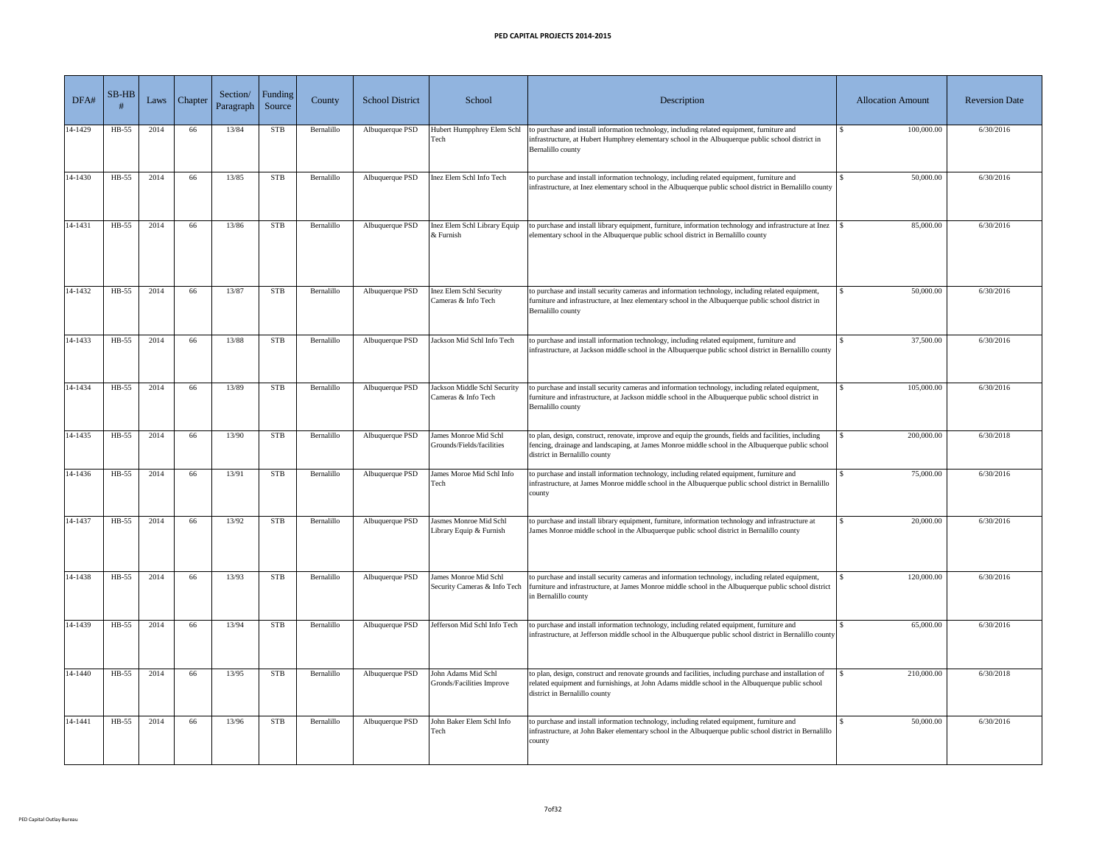| DFA#    | $SB-HB$ | Laws | Chapter <sup>1</sup> | Section/<br>Paragraph | Funding<br>Source | County     | <b>School District</b> | School                                                   | Description                                                                                                                                                                                                                                 | <b>Allocation Amount</b> | <b>Reversion Date</b> |
|---------|---------|------|----------------------|-----------------------|-------------------|------------|------------------------|----------------------------------------------------------|---------------------------------------------------------------------------------------------------------------------------------------------------------------------------------------------------------------------------------------------|--------------------------|-----------------------|
| 14-1429 | HB-55   | 2014 | 66                   | 13/84                 | <b>STB</b>        | Bernalillo | Albuquerque PSD        | Hubert Humpphrey Elem Schl<br>Tech                       | to purchase and install information technology, including related equipment, furniture and<br>infrastructure, at Hubert Humphrey elementary school in the Albuquerque public school district in<br>Bernalillo county                        | 100,000.00               | 6/30/2016             |
| 14-1430 | HB-55   | 2014 | 66                   | 13/85                 | <b>STB</b>        | Bernalillo | Albuquerque PSD        | Inez Elem Schl Info Tech                                 | to purchase and install information technology, including related equipment, furniture and<br>infrastructure, at Inez elementary school in the Albuquerque public school district in Bernalillo county                                      | 50,000.00                | 6/30/2016             |
| 14-1431 | $HB-55$ | 2014 | 66                   | 13/86                 | <b>STB</b>        | Bernalillo | Albuquerque PSD        | Inez Elem Schl Library Equip<br>$&$ Furnish              | to purchase and install library equipment, furniture, information technology and infrastructure at Inez<br>elementary school in the Albuquerque public school district in Bernalillo county                                                 | 85,000.00                | 6/30/2016             |
| 14-1432 | HB-55   | 2014 | 66                   | 13/87                 | <b>STB</b>        | Bernalillo | Albuquerque PSD        | <b>Inez Elem Schl Security</b><br>Cameras & Info Tech    | to purchase and install security cameras and information technology, including related equipment,<br>furniture and infrastructure, at Inez elementary school in the Albuquerque public school district in<br>Bernalillo county              | 50,000.00                | 6/30/2016             |
| 14-1433 | $HB-55$ | 2014 | 66                   | 13/88                 | <b>STB</b>        | Bernalillo | Albuquerque PSD        | Jackson Mid Schl Info Tech                               | to purchase and install information technology, including related equipment, furniture and<br>infrastructure, at Jackson middle school in the Albuquerque public school district in Bernalillo county                                       | 37,500.00                | 6/30/2016             |
| 14-1434 | HB-55   | 2014 | 66                   | 13/89                 | <b>STB</b>        | Bernalillo | Albuquerque PSD        | Jackson Middle Schl Security<br>Cameras & Info Tech      | to purchase and install security cameras and information technology, including related equipment,<br>furniture and infrastructure, at Jackson middle school in the Albuquerque public school district in<br>Bernalillo county               | 105,000.00               | 6/30/2016             |
| 14-1435 | $HB-55$ | 2014 | 66                   | 13/90                 | <b>STB</b>        | Bernalillo | Albuquerque PSD        | James Monroe Mid Schl<br>Grounds/Fields/facilities       | to plan, design, construct, renovate, improve and equip the grounds, fields and facilities, including<br>fencing, drainage and landscaping, at James Monroe middle school in the Albuquerque public school<br>district in Bernalillo county | 200,000.00               | 6/30/2018             |
| 14-1436 | HB-55   | 2014 | 66                   | 13/91                 | <b>STB</b>        | Bernalillo | Albuquerque PSD        | James Moroe Mid Schl Info<br>Tech                        | to purchase and install information technology, including related equipment, furniture and<br>infrastructure, at James Monroe middle school in the Albuquerque public school district in Bernalillo<br>county                               | 75,000.00                | 6/30/2016             |
| 14-1437 | HB-55   | 2014 | 66                   | 13/92                 | <b>STB</b>        | Bernalillo | Albuquerque PSD        | <b>Jasmes Monroe Mid Schl</b><br>Library Equip & Furnish | to purchase and install library equipment, furniture, information technology and infrastructure at<br>James Monroe middle school in the Albuquerque public school district in Bernalillo county                                             | 20,000.00                | 6/30/2016             |
| 14-1438 | HB-55   | 2014 | 66                   | 13/93                 | <b>STB</b>        | Bernalillo | Albuquerque PSD        | James Monroe Mid Schl<br>Security Cameras & Info Tech    | to purchase and install security cameras and information technology, including related equipment,<br>furniture and infrastructure, at James Monroe middle school in the Albuquerque public school district<br>in Bernalillo county          | 120,000.00               | 6/30/2016             |
| 14-1439 | HB-55   | 2014 | 66                   | 13/94                 | <b>STB</b>        | Bernalillo | Albuquerque PSD        | Jefferson Mid Schl Info Tech                             | to purchase and install information technology, including related equipment, furniture and<br>infrastructure, at Jefferson middle school in the Albuquerque public school district in Bernalillo county                                     | 65,000.00                | 6/30/2016             |
| 14-1440 | $HB-55$ | 2014 | 66                   | 13/95                 | <b>STB</b>        | Bernalillo | Albuquerque PSD        | John Adams Mid Schl<br>Gronds/Facilities Improve         | to plan, design, construct and renovate grounds and facilities, including purchase and installation of<br>related equipment and furnishings, at John Adams middle school in the Albuquerque public school<br>district in Bernalillo county  | 210,000.00               | 6/30/2018             |
| 14-1441 | $HB-55$ | 2014 | 66                   | 13/96                 | <b>STB</b>        | Bernalillo | Albuquerque PSD        | John Baker Elem Schl Info<br>Tech                        | to purchase and install information technology, including related equipment, furniture and<br>infrastructure, at John Baker elementary school in the Albuquerque public school district in Bernalillo<br>county                             | 50,000.00                | 6/30/2016             |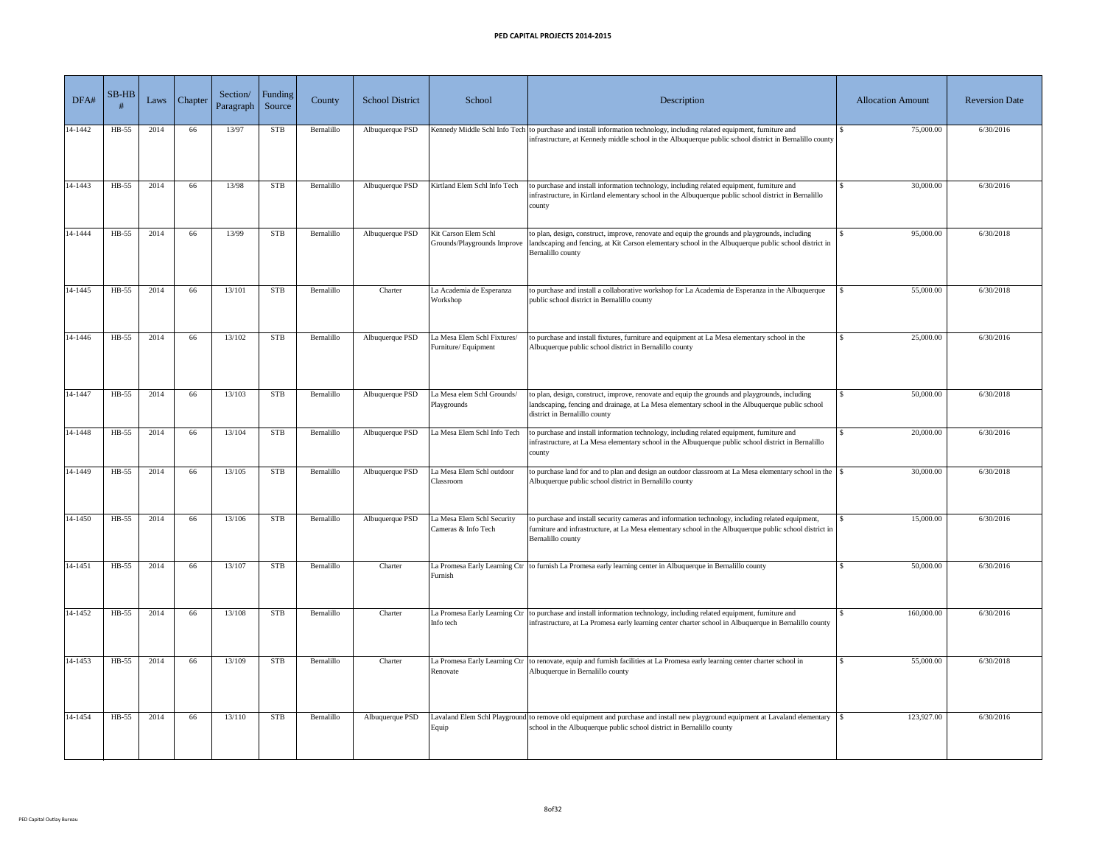| DFA#    | $SB-HB$ | Laws | Chapter <sup>1</sup> | Section/<br>Paragraph | Funding<br>Source | County     | <b>School District</b> | School                                              | Description                                                                                                                                                                                                                         | <b>Allocation Amount</b> | <b>Reversion Date</b> |
|---------|---------|------|----------------------|-----------------------|-------------------|------------|------------------------|-----------------------------------------------------|-------------------------------------------------------------------------------------------------------------------------------------------------------------------------------------------------------------------------------------|--------------------------|-----------------------|
| 14-1442 | HB-55   | 2014 | 66                   | 13/97                 | <b>STB</b>        | Bernalillo | Albuquerque PSD        |                                                     | Kennedy Middle Schl Info Tech to purchase and install information technology, including related equipment, furniture and<br>infrastructure, at Kennedy middle school in the Albuquerque public school district in Bernalillo county | 75,000.00                | 6/30/2016             |
| 14-1443 | HB-55   | 2014 | 66                   | 13/98                 | <b>STB</b>        | Bernalillo | Albuquerque PSD        | Kirtland Elem Schl Info Tech                        | to purchase and install information technology, including related equipment, furniture and<br>infrastructure, in Kirtland elementary school in the Albuquerque public school district in Bernalillo<br>county                       | 30,000.00                | 6/30/2016             |
| 14-1444 | $HB-55$ | 2014 | 66                   | 13/99                 | <b>STB</b>        | Bernalillo | Albuquerque PSD        | Kit Carson Elem Schl<br>Grounds/Playgrounds Improve | to plan, design, construct, improve, renovate and equip the grounds and playgrounds, including<br>landscaping and fencing, at Kit Carson elementary school in the Albuquerque public school district in<br>Bernalillo county        | 95,000.00                | 6/30/2018             |
| 14-1445 | HB-55   | 2014 | 66                   | 13/101                | <b>STB</b>        | Bernalillo | Charter                | La Academia de Esperanza<br>Workshop                | to purchase and install a collaborative workshop for La Academia de Esperanza in the Albuquerque<br>public school district in Bernalillo county                                                                                     | 55,000.00                | 6/30/2018             |
| 14-1446 | HB-55   | 2014 | 66                   | 13/102                | <b>STB</b>        | Bernalillo | Albuquerque PSD        | La Mesa Elem Schl Fixtures/<br>Furniture/ Equipment | to purchase and install fixtures, furniture and equipment at La Mesa elementary school in the<br>Albuquerque public school district in Bernalillo county                                                                            | 25,000.00                | 6/30/2016             |
| 14-1447 | $HB-55$ | 2014 | 66                   | 13/103                | <b>STB</b>        | Bernalillo | Albuquerque PSD        | La Mesa elem Schl Grounds/<br>Playgrounds           | to plan, design, construct, improve, renovate and equip the grounds and playgrounds, including<br>landscaping, fencing and drainage, at La Mesa elementary school in the Albuquerque public school<br>district in Bernalillo county | 50,000.00                | 6/30/2018             |
| 14-1448 | HB-55   | 2014 | 66                   | 13/104                | <b>STB</b>        | Bernalillo | Albuquerque PSD        | La Mesa Elem Schl Info Tech                         | to purchase and install information technology, including related equipment, furniture and<br>infrastructure, at La Mesa elementary school in the Albuquerque public school district in Bernalillo<br>county                        | 20,000.00                | 6/30/2016             |
| 14-1449 | HB-55   | 2014 | 66                   | 13/105                | <b>STB</b>        | Bernalillo | Albuquerque PSD        | La Mesa Elem Schl outdoor<br>Classroom              | to purchase land for and to plan and design an outdoor classroom at La Mesa elementary school in the<br>Albuquerque public school district in Bernalillo county                                                                     | 30,000.00                | 6/30/2018             |
| 14-1450 | HB-55   | 2014 | 66                   | 13/106                | <b>STB</b>        | Bernalillo | Albuquerque PSD        | La Mesa Elem Schl Security<br>Cameras & Info Tech   | to purchase and install security cameras and information technology, including related equipment,<br>furniture and infrastructure, at La Mesa elementary school in the Albuquerque public school district in<br>Bernalillo county   | 15,000.00                | 6/30/2016             |
| 14-1451 | $HB-55$ | 2014 | 66                   | 13/107                | <b>STB</b>        | Bernalillo | Charter                | Furnish                                             | La Promesa Early Learning Ctr to furnish La Promesa early learning center in Albuquerque in Bernalillo county                                                                                                                       | 50,000.00                | 6/30/2016             |
| 14-1452 | $HB-55$ | 2014 | 66                   | 13/108                | <b>STB</b>        | Bernalillo | Charter                | Info tech                                           | La Promesa Early Learning Ctr to purchase and install information technology, including related equipment, furniture and<br>infrastructure, at La Promesa early learning center charter school in Albuquerque in Bernalillo county  | 160,000.00               | 6/30/2016             |
| 14-1453 | $HB-55$ | 2014 | 66                   | 13/109                | <b>STB</b>        | Bernalillo | Charter                | Renovate                                            | La Promesa Early Learning Ctr to renovate, equip and furnish facilities at La Promesa early learning center charter school in<br>Albuquerque in Bernalillo county                                                                   | 55,000.00                | 6/30/2018             |
| 14-1454 | HB-55   | 2014 | 66                   | 13/110                | <b>STB</b>        | Bernalillo | Albuquerque PSD        | Equip                                               | Lavaland Elem Schl Playground to remove old equipment and purchase and install new playground equipment at Lavaland elementary<br>school in the Albuquerque public school district in Bernalillo county                             | 123,927.00               | 6/30/2016             |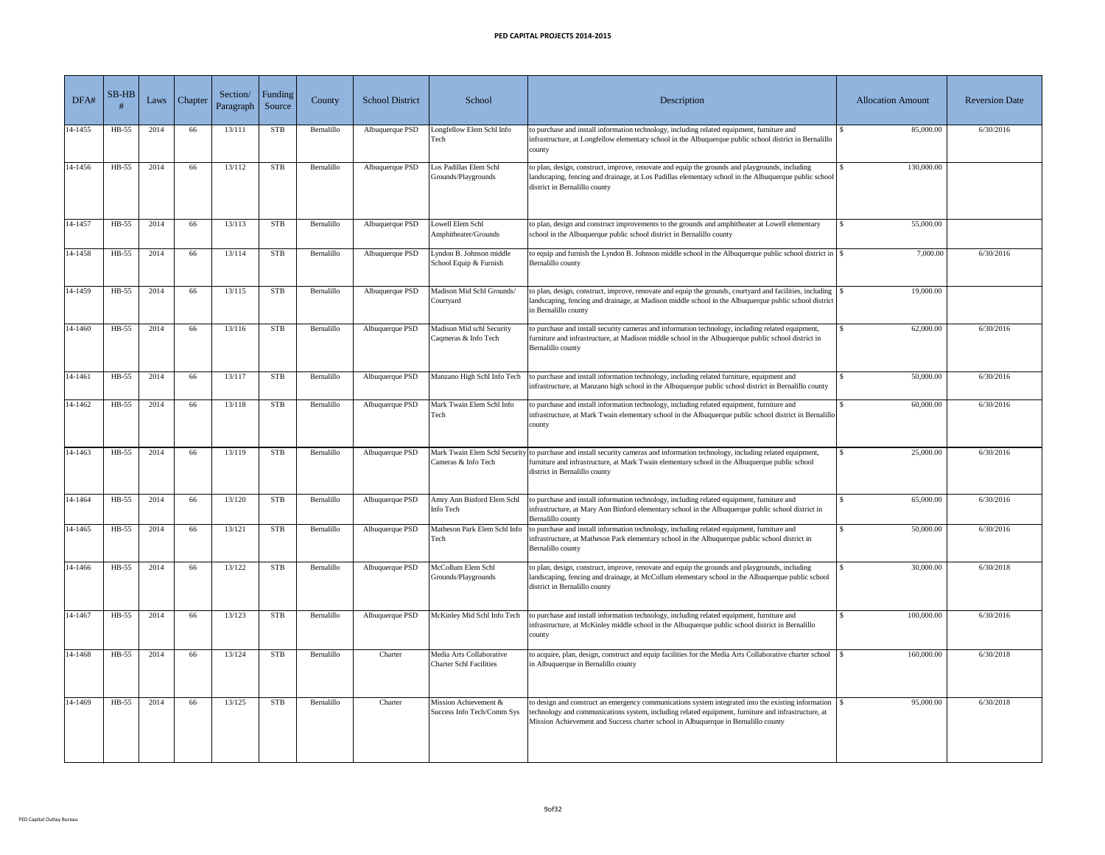| DFA#    | $SB-HB$ | Laws | Chapter | Section/<br>Paragraph | Funding<br>Source | County     | <b>School District</b> | School                                                     | Description                                                                                                                                                                                                                                                                                                    | <b>Allocation Amount</b>   | <b>Reversion Date</b> |
|---------|---------|------|---------|-----------------------|-------------------|------------|------------------------|------------------------------------------------------------|----------------------------------------------------------------------------------------------------------------------------------------------------------------------------------------------------------------------------------------------------------------------------------------------------------------|----------------------------|-----------------------|
| 14-1455 | HB-55   | 2014 | 66      | 13/111                | <b>STB</b>        | Bernalillo | Albuquerque PSD        | ongfellow Elem Schl Info<br>Гесh                           | to purchase and install information technology, including related equipment, furniture and<br>infrastructure, at Longfellow elementary school in the Albuquerque public school district in Bernalillo<br>county                                                                                                | 85,000.00                  | 6/30/2016             |
| 14-1456 | HB-55   | 2014 | 66      | 13/112                | <b>STB</b>        | Bernalillo | Albuquerque PSD        | os Padillas Elem Schl<br>Grounds/Playgrounds               | to plan, design, construct, improve, renovate and equip the grounds and playgrounds, including<br>landscaping, fencing and drainage, at Los Padillas elementary school in the Albuquerque public school<br>district in Bernalillo county                                                                       | 130,000.00                 |                       |
| 14-1457 | HB-55   | 2014 | 66      | 13/113                | <b>STB</b>        | Bernalillo | Albuquerque PSD        | owell Elem Schl<br>Amphitheater/Grounds                    | to plan, design and construct improvements to the grounds and amphitheater at Lowell elementary<br>school in the Albuquerque public school district in Bernalillo county                                                                                                                                       | 55,000.00<br>$\mathcal{L}$ |                       |
| 14-1458 | $HB-55$ | 2014 | 66      | 13/114                | <b>STB</b>        | Bernalillo | Albuquerque PSD        | vndon B. Johnson middle<br>School Equip & Furnish          | to equip and furnish the Lyndon B. Johnson middle school in the Albuquerque public school district in<br>Bernalillo county                                                                                                                                                                                     | 7,000.00                   | 6/30/2016             |
| 14-1459 | $HB-55$ | 2014 | 66      | 13/115                | <b>STB</b>        | Bernalillo | Albuquerque PSD        | Madison Mid Schl Grounds/<br>Courtyard                     | to plan, design, construct, improve, renovate and equip the grounds, courtyard and facilities, including $\frac{1}{s}$<br>landscaping, fencing and drainage, at Madison middle school in the Albuquerque public school district<br>in Bernalillo county                                                        | 19,000.00                  |                       |
| 14-1460 | HB-55   | 2014 | 66      | 13/116                | <b>STB</b>        | Bernalillo | Albuquerque PSD        | Madison Mid schl Security<br>Caqmeras & Info Tech          | to purchase and install security cameras and information technology, including related equipment,<br>furniture and infrastructure, at Madison middle school in the Albuquerque public school district in<br>Bernalillo county                                                                                  | 62,000.00                  | 6/30/2016             |
| 14-1461 | HB-55   | 2014 | 66      | 13/117                | <b>STB</b>        | Bernalillo | Albuquerque PSD        | Manzano High Schl Info Tech                                | to purchase and install information technology, including related furniture, equipment and<br>infrastructure, at Manzano high school in the Albuquerque public school district in Bernalillo county                                                                                                            | 50,000.00                  | 6/30/2016             |
| 14-1462 | $HB-55$ | 2014 | 66      | 13/118                | <b>STB</b>        | Bernalillo | Albuquerque PSD        | Mark Twain Elem Schl Info<br>Tech                          | to purchase and install information technology, including related equipment, furniture and<br>infrastructure, at Mark Twain elementary school in the Albuquerque public school district in Bernalillo<br>county                                                                                                | 60,000.00                  | 6/30/2016             |
| 14-1463 | HB-55   | 2014 | 66      | 13/119                | <b>STB</b>        | Bernalillo | Albuquerque PSD        | Cameras & Info Tech                                        | Mark Twain Elem Schl Security to purchase and install security cameras and information technology, including related equipment,<br>furniture and infrastructure, at Mark Twain elementary school in the Albuquerque public school<br>district in Bernalillo county                                             | 25,000.00                  | 6/30/2016             |
| 14-1464 | $HB-55$ | 2014 | 66      | 13/120                | <b>STB</b>        | Bernalillo | Albuquerque PSD        | Amry Ann Binford Elem Schl<br>Info Tech                    | to purchase and install information technology, including related equipment, furniture and<br>infrastructure, at Mary Ann Binford elementary school in the Albuquerque public school district in<br>Bernalillo county                                                                                          | 65,000.00                  | 6/30/2016             |
| 14-1465 | $HB-55$ | 2014 | 66      | 13/121                | <b>STB</b>        | Bernalillo | Albuquerque PSD        | Tech                                                       | Matheson Park Elem Schl Info to purchase and install information technology, including related equipment, furniture and<br>infrastructure, at Matheson Park elementary school in the Albuquerque public school district in<br>Bernalillo county                                                                | 50,000.00                  | 6/30/2016             |
| 14-1466 | HB-55   | 2014 | 66      | 13/122                | <b>STB</b>        | Bernalillo | Albuquerque PSD        | McCollum Elem Schl<br>Grounds/Playgrounds                  | to plan, design, construct, improve, renovate and equip the grounds and playgrounds, including<br>landscaping, fencing and drainage, at McCollum elementary school in the Albuquerque public school<br>district in Bernalillo county                                                                           | 30,000.00                  | 6/30/2018             |
| 14-1467 | HB-55   | 2014 | 66      | 13/123                | <b>STB</b>        | Bernalillo | Albuquerque PSD        | McKinley Mid Schl Info Tech                                | to purchase and install information technology, including related equipment, furniture and<br>infrastructure, at McKinley middle school in the Albuquerque public school district in Bernalillo<br>county                                                                                                      | 100,000.00                 | 6/30/2016             |
| 14-1468 | $HB-55$ | 2014 | 66      | 13/124                | <b>STB</b>        | Bernalillo | Charter                | Media Arts Collaborative<br><b>Charter Schl Facilities</b> | to acquire, plan, design, construct and equip facilities for the Media Arts Collaborative charter school<br>in Albuquerque in Bernalillo county                                                                                                                                                                | 160,000.00                 | 6/30/2018             |
| 14-1469 | $HB-55$ | 2014 | 66      | 13/125                | <b>STB</b>        | Bernalillo | Charter                | Mission Achievement &<br>Success Info Tech/Comm Sys        | to design and construct an emergency communications system integrated into the existing information $\frac{1}{s}$<br>technology and communications system, including related equipment, furniture and infrastructure, at<br>Mission Achievement and Success charter school in Albuquerque in Bernalillo county | 95,000.00                  | 6/30/2018             |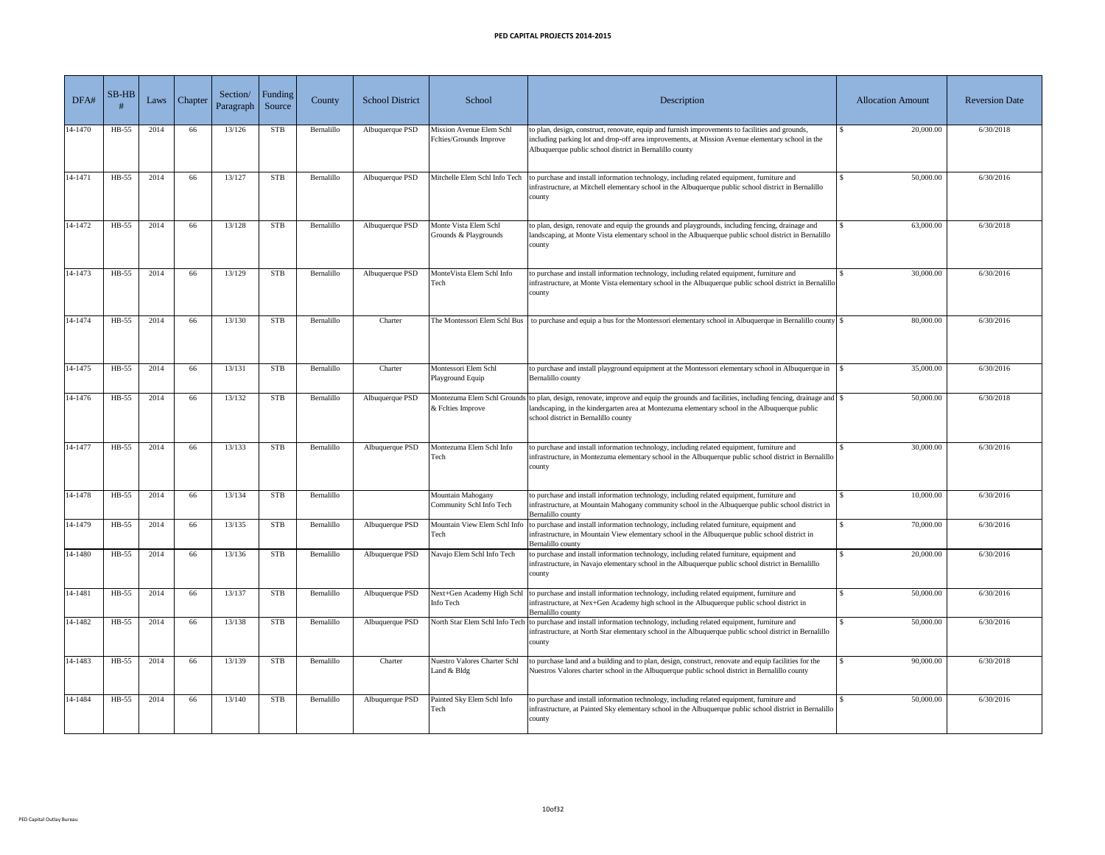| DFA#    | $SB-HB$ | Laws | Chapter <sup>'</sup> | Section/<br>Paragraph | Funding<br>Source | County     | <b>School District</b> | School                                                     | Description                                                                                                                                                                                                                                                                       | <b>Allocation Amount</b> | <b>Reversion Date</b> |
|---------|---------|------|----------------------|-----------------------|-------------------|------------|------------------------|------------------------------------------------------------|-----------------------------------------------------------------------------------------------------------------------------------------------------------------------------------------------------------------------------------------------------------------------------------|--------------------------|-----------------------|
| 14-1470 | $HB-55$ | 2014 | 66                   | 13/126                | <b>STB</b>        | Bernalillo | Albuquerque PSD        | <b>Mission Avenue Elem Schl</b><br>Felties/Grounds Improve | to plan, design, construct, renovate, equip and furnish improvements to facilities and grounds,<br>including parking lot and drop-off area improvements, at Mission Avenue elementary school in the<br>Albuquerque public school district in Bernalillo county                    | 20,000.00                | 6/30/2018             |
| 14-1471 | $HB-55$ | 2014 | 66                   | 13/127                | <b>STB</b>        | Bernalillo | Albuquerque PSD        | Mitchelle Elem Schl Info Tech                              | to purchase and install information technology, including related equipment, furniture and<br>infrastructure, at Mitchell elementary school in the Albuquerque public school district in Bernalillo<br>county                                                                     | 50,000.00                | 6/30/2016             |
| 14-1472 | HB-55   | 2014 | 66                   | 13/128                | <b>STB</b>        | Bernalillo | Albuquerque PSD        | Monte Vista Elem Schl<br>Grounds & Playgrounds             | to plan, design, renovate and equip the grounds and playgrounds, including fencing, drainage and<br>landscaping, at Monte Vista elementary school in the Albuquerque public school district in Bernalillo<br>county                                                               | 63,000.00                | 6/30/2018             |
| 14-1473 | HB-55   | 2014 | 66                   | 13/129                | <b>STB</b>        | Bernalillo | Albuquerque PSD        | MonteVista Elem Schl Info<br>Tech                          | to purchase and install information technology, including related equipment, furniture and<br>infrastructure, at Monte Vista elementary school in the Albuquerque public school district in Bernalillo<br>county                                                                  | 30,000.00                | 6/30/2016             |
| 14-1474 | HB-55   | 2014 | 66                   | 13/130                | <b>STB</b>        | Bernalillo | Charter                | The Montessori Elem Schl Bus                               |                                                                                                                                                                                                                                                                                   | 80,000.00                | 6/30/2016             |
| 14-1475 | HB-55   | 2014 | 66                   | 13/131                | <b>STB</b>        | Bernalillo | Charter                | Montessori Elem Schl<br>Playground Equip                   | to purchase and install playground equipment at the Montessori elementary school in Albuquerque in<br>Bernalillo county                                                                                                                                                           | 35,000.00                | 6/30/2016             |
| 14-1476 | HB-55   | 2014 | 66                   | 13/132                | <b>STB</b>        | Bernalillo | Albuquerque PSD        | & Felties Improve                                          | Montezuma Elem Schl Grounds to plan, design, renovate, improve and equip the grounds and facilities, including fencing, drainage and \$<br>landscaping, in the kindergarten area at Montezuma elementary school in the Albuquerque public<br>school district in Bernalillo county | 50,000.00                | 6/30/2018             |
| 14-1477 | HB-55   | 2014 | 66                   | 13/133                | <b>STB</b>        | Bernalillo | Albuquerque PSD        | Montezuma Elem Schl Info<br>Tech                           | to purchase and install information technology, including related equipment, furniture and<br>infrastructure, in Montezuma elementary school in the Albuquerque public school district in Bernalillo<br>county                                                                    | 30,000.00                | 6/30/2016             |
| 14-1478 | $HB-55$ | 2014 | 66                   | 13/134                | <b>STB</b>        | Bernalillo |                        | <b>Mountain Mahogany</b><br>Community Schl Info Tech       | to purchase and install information technology, including related equipment, furniture and<br>infrastructure, at Mountain Mahogany community school in the Albuquerque public school district in<br>Bernalillo county                                                             | 10,000.00                | 6/30/2016             |
| 14-1479 | HB-55   | 2014 | 66                   | 13/135                | <b>STB</b>        | Bernalillo | Albuquerque PSD        | Mountain View Elem Schl Info<br>Tech                       | to purchase and install information technology, including related furniture, equipment and<br>infrastructure, in Mountain View elementary school in the Albuquerque public school district in<br>Bernalillo county                                                                | 70,000.00                | 6/30/2016             |
| 14-1480 | HB-55   | 2014 | 66                   | 13/136                | <b>STB</b>        | Bernalillo | Albuquerque PSD        | Navajo Elem Schl Info Tech                                 | to purchase and install information technology, including related furniture, equipment and<br>infrastructure, in Navajo elementary school in the Albuquerque public school district in Bernalillo<br>county                                                                       | 20,000.00                | 6/30/2016             |
| 14-1481 | $HB-55$ | 2014 | 66                   | 13/137                | <b>STB</b>        | Bernalillo | Albuquerque PSD        | Next+Gen Academy High Schl<br>Info Tech                    | to purchase and install information technology, including related equipment, furniture and<br>infrastructure, at Nex+Gen Academy high school in the Albuquerque public school district in<br>Bernalillo county                                                                    | 50,000.00                | 6/30/2016             |
| 14-1482 | HB-55   | 2014 | 66                   | 13/138                | <b>STB</b>        | Bernalillo | Albuquerque PSD        | North Star Elem Schl Info Tech                             | to purchase and install information technology, including related equipment, furniture and<br>infrastructure, at North Star elementary school in the Albuquerque public school district in Bernalillo<br>county                                                                   | 50,000.00                | 6/30/2016             |
| 14-1483 | $HB-55$ | 2014 | 66                   | 13/139                | <b>STB</b>        | Bernalillo | Charter                | <b>Nuestro Valores Charter Schl</b><br>Land & Bldg         | to purchase land and a building and to plan, design, construct, renovate and equip facilities for the<br>Nuestros Valores charter school in the Albuquerque public school district in Bernalillo county                                                                           | 90,000.00                | 6/30/2018             |
| 14-1484 | $HB-55$ | 2014 | 66                   | 13/140                | <b>STB</b>        | Bernalillo | Albuquerque PSD        | Painted Sky Elem Schl Info<br>Tech                         | to purchase and install information technology, including related equipment, furniture and<br>infrastructure, at Painted Sky elementary school in the Albuquerque public school district in Bernalillo<br>county                                                                  | 50,000.00                | 6/30/2016             |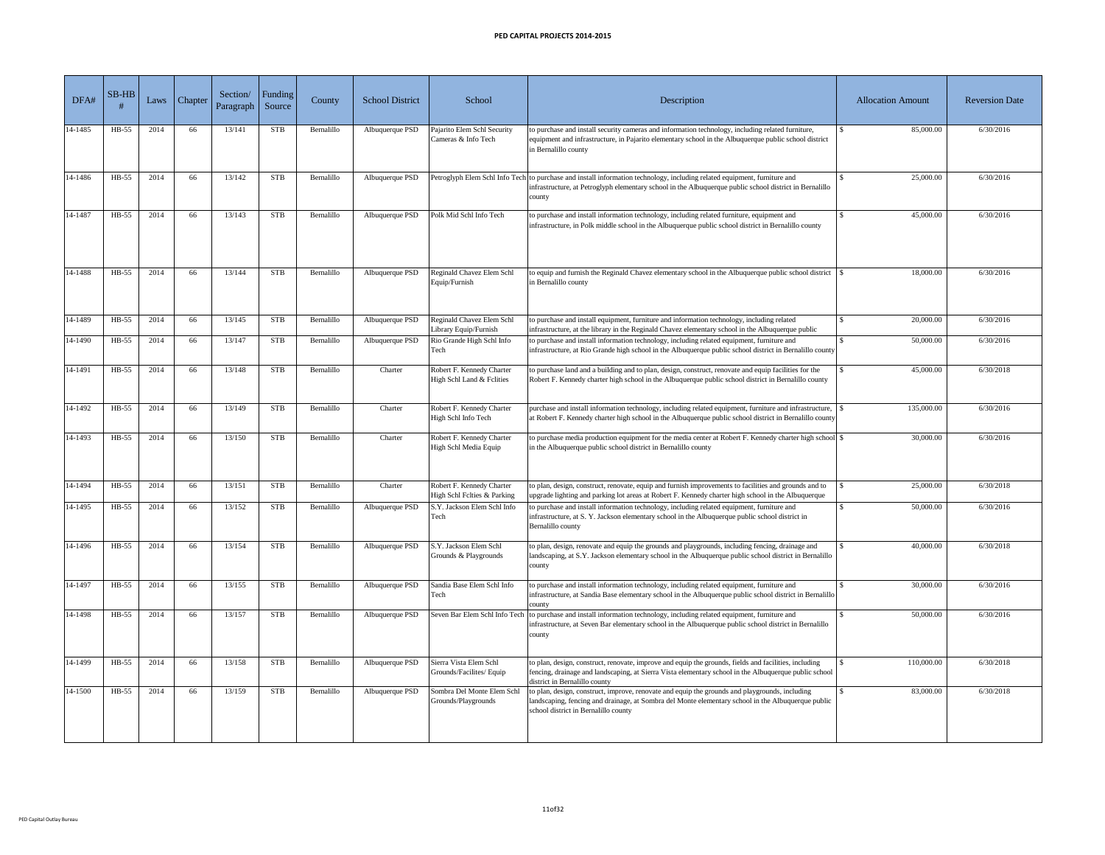| DFA#    | $SB-HB$ | Laws | Chapter / | Section/<br>Paragraph | Funding  <br>Source | County     | <b>School District</b> | School                                                   | Description                                                                                                                                                                                                                                     | <b>Allocation Amount</b> | <b>Reversion Date</b> |
|---------|---------|------|-----------|-----------------------|---------------------|------------|------------------------|----------------------------------------------------------|-------------------------------------------------------------------------------------------------------------------------------------------------------------------------------------------------------------------------------------------------|--------------------------|-----------------------|
| 14-1485 | HB-55   | 2014 | 66        | 13/141                | <b>STB</b>          | Bernalillo | Albuquerque PSD        | Pajarito Elem Schl Security<br>Cameras & Info Tech       | to purchase and install security cameras and information technology, including related furniture,<br>equipment and infrastructure, in Pajarito elementary school in the Albuquerque public school district<br>in Bernalillo county              | 85,000.00                | 6/30/2016             |
| 14-1486 | HB-55   | 2014 | 66        | 13/142                | <b>STB</b>          | Bernalillo | Albuquerque PSD        |                                                          | Petroglyph Elem Schl Info Tech to purchase and install information technology, including related equipment, furniture and<br>infrastructure, at Petroglyph elementary school in the Albuquerque public school district in Bernalillo<br>county  | 25,000.00                | 6/30/2016             |
| 14-1487 | $HB-55$ | 2014 | 66        | 13/143                | <b>STB</b>          | Bernalillo | Albuquerque PSD        | Polk Mid Schl Info Tech                                  | to purchase and install information technology, including related furniture, equipment and<br>infrastructure, in Polk middle school in the Albuquerque public school district in Bernalillo county                                              | 45,000.00                | 6/30/2016             |
| 14-1488 | $HB-55$ | 2014 | 66        | 13/144                | <b>STB</b>          | Bernalillo | Albuquerque PSD        | Reginald Chavez Elem Schl<br>Equip/Furnish               | to equip and furnish the Reginald Chavez elementary school in the Albuquerque public school district<br>in Bernalillo county                                                                                                                    | 18,000.00                | 6/30/2016             |
| 14-1489 | HB-55   | 2014 | 66        | 13/145                | <b>STB</b>          | Bernalillo | Albuquerque PSD        | Reginald Chavez Elem Schl<br>Library Equip/Furnish       | to purchase and install equipment, furniture and information technology, including related<br>infrastructure, at the library in the Reginald Chavez elementary school in the Albuquerque public                                                 | 20,000.00                | 6/30/2016             |
| 14-1490 | HB-55   | 2014 | 66        | 13/147                | <b>STB</b>          | Bernalillo | Albuquerque PSD        | Rio Grande High Schl Info<br>Tech                        | to purchase and install information technology, including related equipment, furniture and<br>infrastructure, at Rio Grande high school in the Albuquerque public school district in Bernalillo county                                          | 50,000.00                | 6/30/2016             |
| 14-1491 | $HB-55$ | 2014 | 66        | 13/148                | <b>STB</b>          | Bernalillo | Charter                | Robert F. Kennedy Charter<br>High Schl Land & Felities   | to purchase land and a building and to plan, design, construct, renovate and equip facilities for the<br>Robert F. Kennedy charter high school in the Albuquerque public school district in Bernalillo county                                   | 45,000.00                | 6/30/2018             |
| 14-1492 | $HB-55$ | 2014 | 66        | 13/149                | <b>STB</b>          | Bernalillo | Charter                | Robert F. Kennedy Charter<br>High Schl Info Tech         | purchase and install information technology, including related equipment, furniture and infrastructure,<br>at Robert F. Kennedy charter high school in the Albuquerque public school district in Bernalillo county                              | 135,000.00               | 6/30/2016             |
| 14-1493 | HB-55   | 2014 | 66        | 13/150                | <b>STB</b>          | Bernalillo | Charter                | Robert F. Kennedy Charter<br>High Schl Media Equip       | to purchase media production equipment for the media center at Robert F. Kennedy charter high school \\$<br>in the Albuquerque public school district in Bernalillo county                                                                      | 30,000.00                | 6/30/2016             |
| 14-1494 | HB-55   | 2014 | 66        | 13/151                | <b>STB</b>          | Bernalillo | Charter                | Robert F. Kennedy Charter<br>High Schl Felties & Parking | to plan, design, construct, renovate, equip and furnish improvements to facilities and grounds and to<br>upgrade lighting and parking lot areas at Robert F. Kennedy charter high school in the Albuquerque                                     | 25,000.00                | 6/30/2018             |
| 14-1495 | $HB-55$ | 2014 | 66        | 13/152                | <b>STB</b>          | Bernalillo | Albuquerque PSD        | S.Y. Jackson Elem Schl Info<br>Tech                      | to purchase and install information technology, including related equipment, furniture and<br>infrastructure, at S. Y. Jackson elementary school in the Albuquerque public school district in<br>Bernalillo county                              | 50,000.00                | 6/30/2016             |
| 14-1496 | $HB-55$ | 2014 | 66        | 13/154                | <b>STB</b>          | Bernalillo | Albuquerque PSD        | S.Y. Jackson Elem Schl<br>Grounds & Playgrounds          | to plan, design, renovate and equip the grounds and playgrounds, including fencing, drainage and<br>landscaping, at S.Y. Jackson elementary school in the Albuquerque public school district in Bernalillo<br>county                            | 40,000.00                | 6/30/2018             |
| 14-1497 | $HB-55$ | 2014 | 66        | 13/155                | <b>STB</b>          | Bernalillo | Albuquerque PSD        | Sandia Base Elem Schl Info<br>Tech                       | to purchase and install information technology, including related equipment, furniture and<br>infrastructure, at Sandia Base elementary school in the Albuquerque public school district in Bernalillo<br>county                                | 30,000.00                | 6/30/2016             |
| 14-1498 | HB-55   | 2014 | 66        | 13/157                | <b>STB</b>          | Bernalillo | Albuquerque PSD        |                                                          | Seven Bar Elem Schl Info Tech to purchase and install information technology, including related equipment, furniture and<br>infrastructure, at Seven Bar elementary school in the Albuquerque public school district in Bernalillo<br>county    | 50,000.00                | 6/30/2016             |
| 14-1499 | HB-55   | 2014 | 66        | 13/158                | <b>STB</b>          | Bernalillo | Albuquerque PSD        | Sierra Vista Elem Schl<br>Grounds/Facilites/ Equip       | to plan, design, construct, renovate, improve and equip the grounds, fields and facilities, including<br>fencing, drainage and landscaping, at Sierra Vista elementary school in the Albuquerque public school<br>district in Bernalillo county | 110,000.00               | 6/30/2018             |
| 14-1500 | $HB-55$ | 2014 | 66        | 13/159                | <b>STB</b>          | Bernalillo | Albuquerque PSD        | Sombra Del Monte Elem Schl<br>Grounds/Playgrounds        | to plan, design, construct, improve, renovate and equip the grounds and playgrounds, including<br>landscaping, fencing and drainage, at Sombra del Monte elementary school in the Albuquerque public<br>school district in Bernalillo county    | 83,000.00                | 6/30/2018             |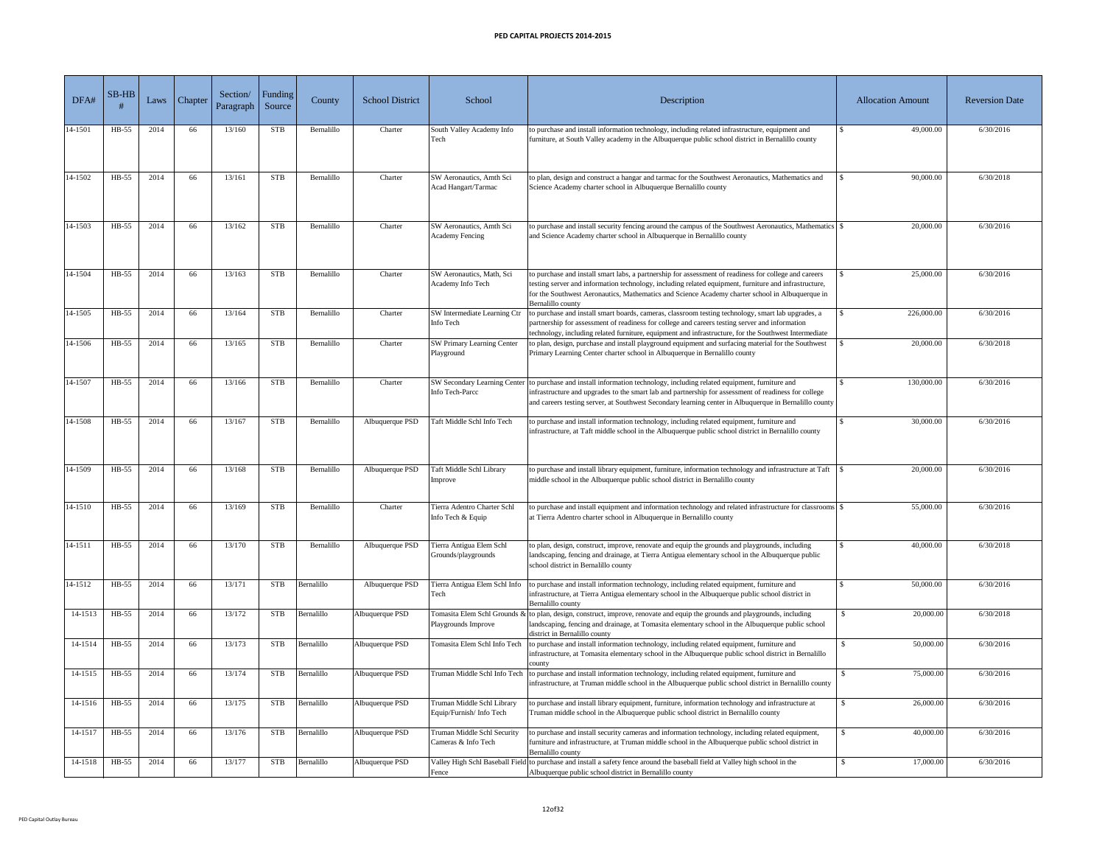| DFA#            | $SB-HB$ | Laws | Chapter <sup>1</sup> | Section/<br>Paragraph | <b>Funding</b><br>Source | County     | <b>School District</b> | School                                                    | Description                                                                                                                                                                                                                                                                                                                               | <b>Allocation Amount</b> | <b>Reversion Date</b> |
|-----------------|---------|------|----------------------|-----------------------|--------------------------|------------|------------------------|-----------------------------------------------------------|-------------------------------------------------------------------------------------------------------------------------------------------------------------------------------------------------------------------------------------------------------------------------------------------------------------------------------------------|--------------------------|-----------------------|
| 14-1501         | HB-55   | 2014 | 66                   | 13/160                | <b>STB</b>               | Bernalillo | Charter                | South Valley Academy Info<br>Tech                         | to purchase and install information technology, including related infrastructure, equipment and<br>furniture, at South Valley academy in the Albuquerque public school district in Bernalillo county                                                                                                                                      | 49,000.00                | 6/30/2016             |
| 14-1502         | HB-55   | 2014 | 66                   | 13/161                | <b>STB</b>               | Bernalillo | Charter                | <b>SW</b> Aeronautics, Amth Sci<br>Acad Hangart/Tarmac    | to plan, design and construct a hangar and tarmac for the Southwest Aeronautics, Mathematics and<br>Science Academy charter school in Albuquerque Bernalillo county                                                                                                                                                                       | 90,000.00                | 6/30/2018             |
| 14-1503         | $HB-55$ | 2014 | 66                   | 13/162                | <b>STB</b>               | Bernalillo | Charter                | SW Aeronautics, Amth Sci<br><b>Academy Fencing</b>        | to purchase and install security fencing around the campus of the Southwest Aeronautics, Mathematics \ \\$<br>and Science Academy charter school in Albuquerque in Bernalillo county                                                                                                                                                      | 20,000.00                | 6/30/2016             |
| 14-1504         | HB-55   | 2014 | 66                   | 13/163                | <b>STB</b>               | Bernalillo | Charter                | SW Aeronautics, Math, Sci<br>Academy Info Tech            | to purchase and install smart labs, a partnership for assessment of readiness for college and careers<br>testing server and information technology, including related equipment, furniture and infrastructure,<br>for the Southwest Aeronautics, Mathematics and Science Academy charter school in Albuquerque in<br>Bernalillo county    | 25,000.00                | 6/30/2016             |
| 14-1505         | HB-55   | 2014 | 66                   | 13/164                | <b>STB</b>               | Bernalillo | Charter                | <b>SW</b> Intermediate Learning Ctr<br>Info Tech          | to purchase and install smart boards, cameras, classroom testing technology, smart lab upgrades, a<br>partnership for assessment of readiness for college and careers testing server and information<br>technology, including related furniture, equipment and infrastructure, for the Southwest Intermediate                             | 226,000.00               | 6/30/2016             |
| 14-1506         | HB-55   | 2014 | 66                   | 13/165                | <b>STB</b>               | Bernalillo | Charter                | <b>SW Primary Learning Center</b><br>Playground           | to plan, design, purchase and install playground equipment and surfacing material for the Southwest<br>Primary Learning Center charter school in Albuquerque in Bernalillo county                                                                                                                                                         | 20,000.00                | 6/30/2018             |
| $14-1507$ HB-55 |         | 2014 | 66                   | 13/166                | <b>STB</b>               | Bernalillo | Charter                | Info Tech-Parcc                                           | SW Secondary Learning Center to purchase and install information technology, including related equipment, furniture and<br>infrastructure and upgrades to the smart lab and partnership for assessment of readiness for college<br>and careers testing server, at Southwest Secondary learning center in Albuquerque in Bernalillo county | 130,000.00               | 6/30/2016             |
| 14-1508         | HB-55   | 2014 | 66                   | 13/167                | <b>STB</b>               | Bernalillo | Albuquerque PSD        | Taft Middle Schl Info Tech                                | to purchase and install information technology, including related equipment, furniture and<br>infrastructure, at Taft middle school in the Albuquerque public school district in Bernalillo county                                                                                                                                        | 30,000.00                | 6/30/2016             |
| 14-1509         | HB-55   | 2014 | 66                   | 13/168                | <b>STB</b>               | Bernalillo | Albuquerque PSD        | <b>Taft Middle Schl Library</b><br>Improve                | to purchase and install library equipment, furniture, information technology and infrastructure at Taft<br>middle school in the Albuquerque public school district in Bernalillo county                                                                                                                                                   | 20,000.00                | 6/30/2016             |
| 14-1510         | HB-55   | 2014 | 66                   | 13/169                | <b>STB</b>               | Bernalillo | Charter                | Tierra Adentro Charter Schl<br>Info Tech & Equip          | to purchase and install equipment and information technology and related infrastructure for classrooms \ \ \ \<br>at Tierra Adentro charter school in Albuquerque in Bernalillo county                                                                                                                                                    | 55,000.00                | 6/30/2016             |
| 14-1511         | HB-55   | 2014 | 66                   | 13/170                | <b>STB</b>               | Bernalillo | Albuquerque PSD        | Tierra Antigua Elem Schl<br>Grounds/playgrounds           | to plan, design, construct, improve, renovate and equip the grounds and playgrounds, including<br>landscaping, fencing and drainage, at Tierra Antigua elementary school in the Albuquerque public<br>school district in Bernalillo county                                                                                                | 40,000.00                | 6/30/2018             |
| 14-1512         | HB-55   | 2014 | 66                   | 13/171                | <b>STB</b>               | Bernalillo | Albuquerque PSD        | Tierra Antigua Elem Schl Info<br>Tech                     | to purchase and install information technology, including related equipment, furniture and<br>infrastructure, at Tierra Antigua elementary school in the Albuquerque public school district in<br>Bernalillo county                                                                                                                       | 50,000.00                | 6/30/2016             |
| 14-1513         | HB-55   | 2014 | 66                   | 13/172                | <b>STB</b>               | Bernalillo | Albuquerque PSD        | Playgrounds Improve                                       | Tomasita Elem Schl Grounds & to plan, design, construct, improve, renovate and equip the grounds and playgrounds, including<br>landscaping, fencing and drainage, at Tomasita elementary school in the Albuquerque public school<br>district in Bernalillo county                                                                         | 20,000.00                | 6/30/2018             |
| 14-1514         | HB-55   | 2014 | 66                   | 13/173                | <b>STB</b>               | Bernalillo | Albuquerque PSD        | Tomasita Elem Schl Info Tech                              | to purchase and install information technology, including related equipment, furniture and<br>infrastructure, at Tomasita elementary school in the Albuquerque public school district in Bernalillo<br>countv                                                                                                                             | 50,000.00                | 6/30/2016             |
| 14-1515         | HB-55   | 2014 | 66                   | 13/174                | <b>STB</b>               | Bernalillo | Albuquerque PSD        |                                                           | Truman Middle Schl Info Tech to purchase and install information technology, including related equipment, furniture and<br>infrastructure, at Truman middle school in the Albuquerque public school district in Bernalillo county                                                                                                         | 75,000.00                | 6/30/2016             |
| 14-1516         | $HB-55$ | 2014 | 66                   | 13/175                | <b>STB</b>               | Bernalillo | Albuquerque PSD        | Truman Middle Schl Library<br>Equip/Furnish/Info Tech     | o purchase and install library equipment, furniture, information technology and infrastructure at<br>Truman middle school in the Albuquerque public school district in Bernalillo county                                                                                                                                                  | 26,000.00                | 6/30/2016             |
| 14-1517         | HB-55   | 2014 | 66                   | 13/176                | <b>STB</b>               | Bernalillo | Albuquerque PSD        | <b>Truman Middle Schl Security</b><br>Cameras & Info Tech | to purchase and install security cameras and information technology, including related equipment,<br>furniture and infrastructure, at Truman middle school in the Albuquerque public school district in<br>Bernalillo county                                                                                                              | 40,000.00                | 6/30/2016             |
| 14-1518         | $HB-55$ | 2014 | 66                   | 13/177                | <b>STB</b>               | Bernalillo | Albuquerque PSD        | Fence                                                     | Valley High Schl Baseball Field to purchase and install a safety fence around the baseball field at Valley high school in the<br>Albuquerque public school district in Bernalillo county                                                                                                                                                  | 17,000.00                | 6/30/2016             |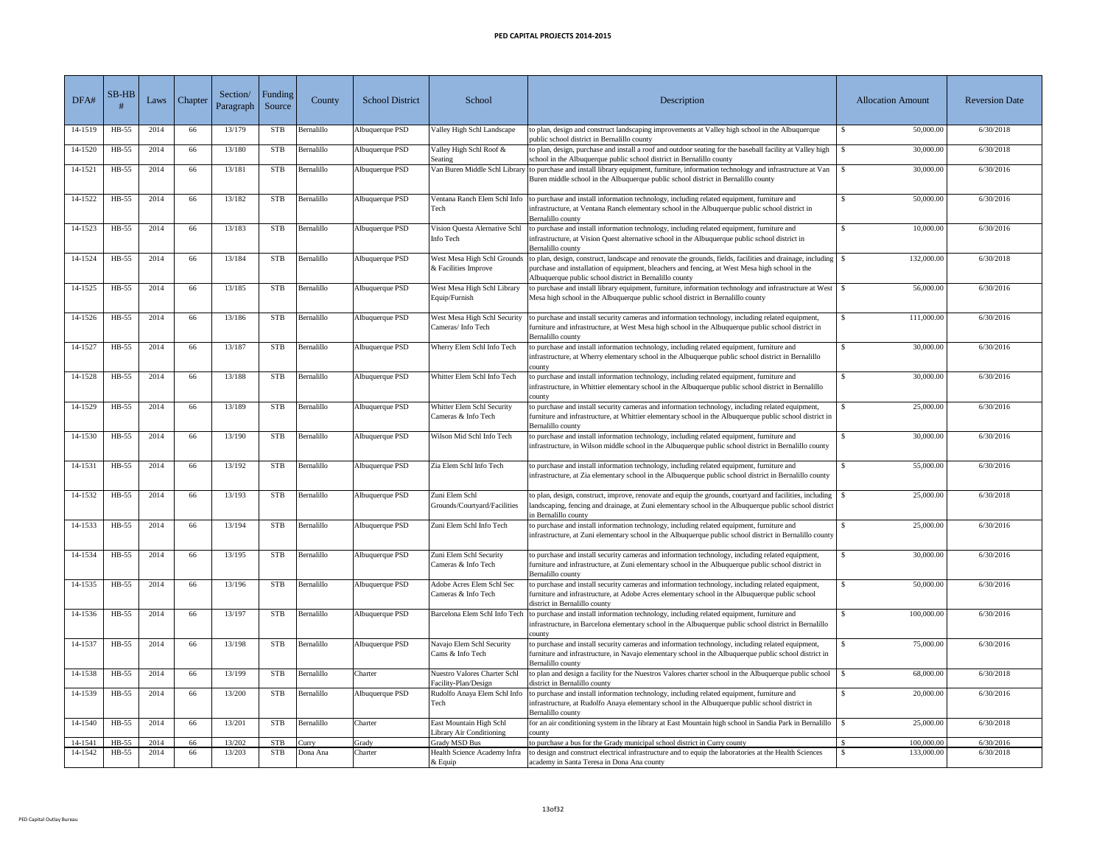| DFA#    | $SB-HB$ | Laws | Chapter <sup>'</sup> | Section/<br>Paragraph | Funding /<br>Source | County     | <b>School District</b> | School                                                      | Description                                                                                                                                                                                                                                                                                         | <b>Allocation Amount</b> | <b>Reversion Date</b> |
|---------|---------|------|----------------------|-----------------------|---------------------|------------|------------------------|-------------------------------------------------------------|-----------------------------------------------------------------------------------------------------------------------------------------------------------------------------------------------------------------------------------------------------------------------------------------------------|--------------------------|-----------------------|
| 14-1519 | $HB-55$ | 2014 | 66                   | 13/179                | <b>STB</b>          | Bernalillo | Albuquerque PSD        | Valley High Schl Landscape                                  | to plan, design and construct landscaping improvements at Valley high school in the Albuquerque<br>public school district in Bernalillo county                                                                                                                                                      | 50,000.00                | 6/30/2018             |
| 14-1520 | $HB-55$ | 2014 | 66                   | 13/180                | <b>STB</b>          | Bernalillo | Albuquerque PSD        | Valley High Schl Roof &<br>Seating                          | to plan, design, purchase and install a roof and outdoor seating for the baseball facility at Valley high<br>school in the Albuquerque public school district in Bernalillo county                                                                                                                  | 30,000.00                | 6/30/2018             |
| 14-1521 | HB-55   | 2014 | 66                   | 13/181                | <b>STB</b>          | Bernalillo | Albuquerque PSD        |                                                             | Van Buren Middle Schl Library to purchase and install library equipment, furniture, information technology and infrastructure at Van<br>Buren middle school in the Albuquerque public school district in Bernalillo county                                                                          | 30,000.00                | 6/30/2016             |
| 14-1522 | $HB-55$ | 2014 | 66                   | 13/182                | <b>STB</b>          | Bernalillo | Albuquerque PSD        | Tech                                                        | Ventana Ranch Elem Schl Info to purchase and install information technology, including related equipment, furniture and<br>infrastructure, at Ventana Ranch elementary school in the Albuquerque public school district in<br>Bernalillo county                                                     | 50,000.00                | 6/30/2016             |
| 14-1523 | $HB-55$ | 2014 | 66                   | 13/183                | <b>STB</b>          | Bernalillo | Albuquerque PSD        | Vision Questa Alernative Schl<br>Info Tech                  | to purchase and install information technology, including related equipment, furniture and<br>infrastructure, at Vision Quest alternative school in the Albuquerque public school district in<br>Bernalillo county                                                                                  | 10,000.00                | 6/30/2016             |
| 14-1524 | $HB-55$ | 2014 | 66                   | 13/184                | <b>STB</b>          | Bernalillo | Albuquerque PSD        | & Facilities Improve                                        | West Mesa High Schl Grounds to plan, design, construct, landscape and renovate the grounds, fields, facilities and drainage, including<br>purchase and installation of equipment, bleachers and fencing, at West Mesa high school in the<br>Albuquerque public school district in Bernalillo county | 132,000.00               | 6/30/2018             |
| 14-1525 | HB-55   | 2014 | 66                   | 13/185                | <b>STB</b>          | Bernalillo | Albuquerque PSD        | West Mesa High Schl Library<br>Equip/Furnish                | to purchase and install library equipment, furniture, information technology and infrastructure at West<br>Mesa high school in the Albuquerque public school district in Bernalillo county                                                                                                          | 56,000.00                | 6/30/2016             |
| 14-1526 | $HB-55$ | 2014 | 66                   | 13/186                | <b>STB</b>          | Bernalillo | Albuquerque PSD        | West Mesa High Schl Security<br>Cameras/Info Tech           | to purchase and install security cameras and information technology, including related equipment,<br>furniture and infrastructure, at West Mesa high school in the Albuquerque public school district in<br>Bernalillo county                                                                       | 111,000.00               | 6/30/2016             |
| 14-1527 | $HB-55$ | 2014 | 66                   | 13/187                | <b>STB</b>          | Bernalillo | Albuquerque PSD        | Wherry Elem Schl Info Tech                                  | to purchase and install information technology, including related equipment, furniture and<br>infrastructure, at Wherry elementary school in the Albuquerque public school district in Bernalillo<br>county                                                                                         | 30,000.00                | 6/30/2016             |
| 14-1528 | HB-55   | 2014 | 66                   | 13/188                | <b>STB</b>          | Bernalillo | Albuquerque PSD        | Whitter Elem Schl Info Tech                                 | to purchase and install information technology, including related equipment, furniture and<br>infrastructure, in Whittier elementary school in the Albuquerque public school district in Bernalillo<br>county                                                                                       | 30,000.00                | 6/30/2016             |
| 14-1529 | HB-55   | 2014 | 66                   | 13/189                | <b>STB</b>          | Bernalillo | Albuquerque PSD        | Whitter Elem Schl Security<br>Cameras & Info Tech           | to purchase and install security cameras and information technology, including related equipment,<br>furniture and infrastructure, at Whittier elementary school in the Albuquerque public school district in<br>Bernalillo county                                                                  | 25,000.00                | 6/30/2016             |
| 14-1530 | HB-55   | 2014 | 66                   | 13/190                | <b>STB</b>          | Bernalillo | Albuquerque PSD        | Wilson Mid Schl Info Tech                                   | to purchase and install information technology, including related equipment, furniture and<br>infrastructure, in Wilson middle school in the Albuquerque public school district in Bernalillo county                                                                                                | 30,000.00                | 6/30/2016             |
| 14-1531 | $HB-55$ | 2014 | 66                   | 13/192                | <b>STB</b>          | Bernalillo | Albuquerque PSD        | Zia Elem Schl Info Tech                                     | to purchase and install information technology, including related equipment, furniture and<br>infrastructure, at Zia elementary school in the Albuquerque public school district in Bernalillo county                                                                                               | 55,000.00                | 6/30/2016             |
| 14-1532 | $HB-55$ | 2014 | 66                   | 13/193                | <b>STB</b>          | Bernalillo | Albuquerque PSD        | Zuni Elem Schl<br>Grounds/Courtyard/Facilities              | to plan, design, construct, improve, renovate and equip the grounds, courtyard and facilities, including<br>landscaping, fencing and drainage, at Zuni elementary school in the Albuquerque public school district<br>in Bernalillo county                                                          | 25,000.00                | 6/30/2018             |
| 14-1533 | $HB-55$ | 2014 | 66                   | 13/194                | <b>STB</b>          | Bernalillo | Albuquerque PSD        | Zuni Elem Schl Info Tech                                    | to purchase and install information technology, including related equipment, furniture and<br>infrastructure, at Zuni elementary school in the Albuquerque public school district in Bernalillo county                                                                                              | 25,000.00                | 6/30/2016             |
| 14-1534 | HB-55   | 2014 | 66                   | 13/195                | <b>STB</b>          | Bernalillo | Albuquerque PSD        | Zuni Elem Schl Security<br>Cameras & Info Tech              | to purchase and install security cameras and information technology, including related equipment,<br>furniture and infrastructure, at Zuni elementary school in the Albuquerque public school district in<br>Bernalillo county                                                                      | 30,000.00                | 6/30/2016             |
| 14-1535 | HB-55   | 2014 | 66                   | 13/196                | <b>STB</b>          | Bernalillo | Albuquerque PSD        | Adobe Acres Elem Schl Sec<br>Cameras & Info Tech            | to purchase and install security cameras and information technology, including related equipment,<br>furniture and infrastructure, at Adobe Acres elementary school in the Albuquerque public school<br>district in Bernalillo county                                                               | 50,000.00                | 6/30/2016             |
| 14-1536 | HB-55   | 2014 | 66                   | 13/197                | <b>STB</b>          | Bernalillo | Albuquerque PSD        | Barcelona Elem Schl Info Tech                               | to purchase and install information technology, including related equipment, furniture and<br>infrastructure, in Barcelona elementary school in the Albuquerque public school district in Bernalillo<br>county                                                                                      | 100,000.00               | 6/30/2016             |
| 14-1537 | $HB-55$ | 2014 | 66                   | 13/198                | <b>STB</b>          | Bernalillo | Albuquerque PSD        | Navajo Elem Schl Security<br>Cams & Info Tech               | to purchase and install security cameras and information technology, including related equipment,<br>furniture and infrastructure, in Navajo elementary school in the Albuquerque public school district in<br>Bernalillo county                                                                    | 75,000.00                | 6/30/2016             |
| 14-1538 | HB-55   | 2014 | 66                   | 13/199                | <b>STB</b>          | Bernalillo | Charter                | <b>Nuestro Valores Charter Schl</b><br>Facility-Plan/Design | to plan and design a facility for the Nuestros Valores charter school in the Albuquerque public school<br>district in Bernalillo county                                                                                                                                                             | 68,000.00                | 6/30/2018             |
| 14-1539 | $HB-55$ | 2014 | 66                   | 13/200                | <b>STB</b>          | Bernalillo | Albuquerque PSD        | Tech                                                        | Rudolfo Anaya Elem Schl Info to purchase and install information technology, including related equipment, furniture and<br>infrastructure, at Rudolfo Anaya elementary school in the Albuquerque public school district in<br>Bernalillo county                                                     | 20,000.00<br>- S         | 6/30/2016             |
| 14-1540 | $HB-55$ | 2014 | 66                   | 13/201                | <b>STB</b>          | Bernalillo | Charter                | East Mountain High Schl<br>Library Air Conditioning         | for an air conditioning system in the library at East Mountain high school in Sandia Park in Bernalillo<br>county                                                                                                                                                                                   | 25,000.00                | 6/30/2018             |
| 14-1541 | $HB-55$ | 2014 | 66                   | 13/202                | <b>STB</b>          | Curry      | Grady                  | <b>Grady MSD Bus</b>                                        | to purchase a bus for the Grady municipal school district in Curry county                                                                                                                                                                                                                           | 100,000.00               | 6/30/2016             |
| 14-1542 | $HB-55$ | 2014 | 66                   | 13/203                | <b>STB</b>          | Dona Ana   | Charter                | Health Science Academy Infra<br>$\&$ Equip                  | to design and construct electrical infrastructure and to equip the laboratories at the Health Sciences<br>academy in Santa Teresa in Dona Ana county                                                                                                                                                | 133,000.00               | 6/30/2018             |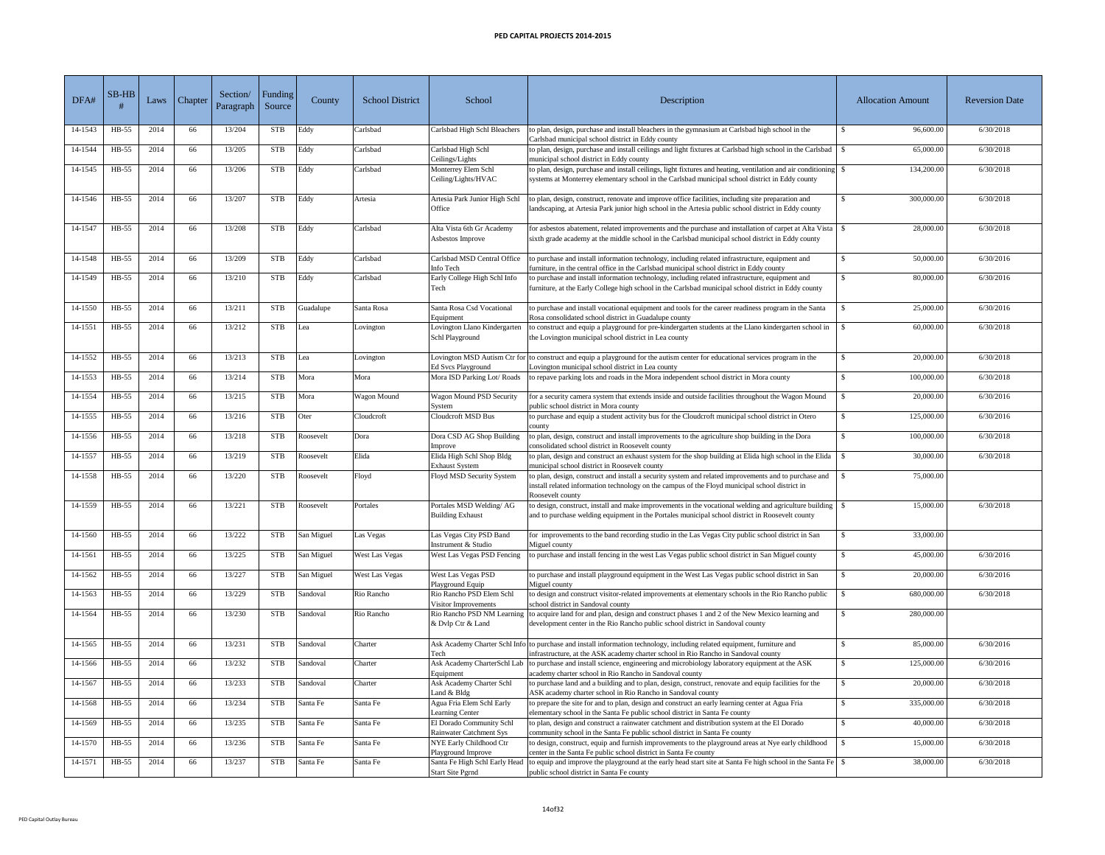| DFA#    | $SB-HB$ | Laws | Chapter / | Section/<br>Paragraph | Funding /<br>Source | County     | <b>School District</b> | School                                                     | Description                                                                                                                                                                                                                 | <b>Allocation Amount</b> | <b>Reversion Date</b> |
|---------|---------|------|-----------|-----------------------|---------------------|------------|------------------------|------------------------------------------------------------|-----------------------------------------------------------------------------------------------------------------------------------------------------------------------------------------------------------------------------|--------------------------|-----------------------|
| 14-1543 | $HB-55$ | 2014 | 66        | 13/204                | <b>STB</b>          | Eddy       | Carlsbad               | Carlsbad High Schl Bleachers                               | to plan, design, purchase and install bleachers in the gymnasium at Carlsbad high school in the<br>Carlsbad municipal school district in Eddy county                                                                        | 96,600.00                | 6/30/2018             |
| 14-1544 | $HB-55$ | 2014 | 66        | 13/205                | <b>STB</b>          | Eddy       | Carlsbad               | Carlsbad High Schl<br>Ceilings/Lights                      | to plan, design, purchase and install ceilings and light fixtures at Carlsbad high school in the Carlsbad<br>municipal school district in Eddy county                                                                       | 65,000.00                | 6/30/2018             |
| 14-1545 | HB-55   | 2014 | 66        | 13/206                | <b>STB</b>          | Eddy       | Carlsbad               | Monterrey Elem Schl<br>Ceiling/Lights/HVAC                 | systems at Monterrey elementary school in the Carlsbad municipal school district in Eddy county                                                                                                                             | 134,200.00               | 6/30/2018             |
| 14-1546 | $HB-55$ | 2014 | 66        | 13/207                | <b>STB</b>          | Eddy       | Artesia                | Artesia Park Junior High Schl<br>Office                    | to plan, design, construct, renovate and improve office facilities, including site preparation and<br>landscaping, at Artesia Park junior high school in the Artesia public school district in Eddy county                  | 300,000.00               | 6/30/2018             |
| 14-1547 | $HB-55$ | 2014 | 66        | 13/208                | <b>STB</b>          | Eddy       | Carlsbad               | Alta Vista 6th Gr Academy<br>Asbestos Improve              | for asbestos abatement, related improvements and the purchase and installation of carpet at Alta Vista<br>sixth grade academy at the middle school in the Carlsbad municipal school district in Eddy county                 | 28,000.00                | 6/30/2018             |
| 14-1548 | HB-55   | 2014 | 66        | 13/209                | <b>STB</b>          | Eddy       | Carlsbad               | Carlsbad MSD Central Office<br>Info Tech                   | to purchase and install information technology, including related infrastructure, equipment and<br>furniture, in the central office in the Carlsbad municipal school district in Eddy county                                | 50,000.00                | 6/30/2016             |
| 14-1549 | $HB-55$ | 2014 | 66        | 13/210                | <b>STB</b>          | Eddy       | Carlsbad               | Early College High Schl Info<br>Tech                       | to purchase and install information technology, including related infrastructure, equipment and<br>furniture, at the Early College high school in the Carlsbad municipal school district in Eddy county                     | 80,000.00                | 6/30/2016             |
| 14-1550 | $HB-55$ | 2014 | 66        | 13/211                | <b>STB</b>          | Guadalupe  | Santa Rosa             | Santa Rosa Csd Vocational<br>Equipment                     | to purchase and install vocational equipment and tools for the career readiness program in the Santa<br>Rosa consolidated school district in Guadalupe county                                                               | 25,000.00                | 6/30/2016             |
| 14-1551 | $HB-55$ | 2014 | 66        | 13/212                | <b>STB</b>          | Lea        | Lovington              | Lovington Llano Kindergarten<br>Schl Playground            | to construct and equip a playground for pre-kindergarten students at the Llano kindergarten school in<br>the Lovington municipal school district in Lea county                                                              | 60,000.00                | 6/30/2018             |
| 14-1552 | HB-55   | 2014 | 66        | 13/213                | <b>STB</b>          | Lea        | Lovington              | <b>Ed Svcs Playground</b>                                  | Lovington MSD Autism Ctr for to construct and equip a playground for the autism center for educational services program in the<br>Lovington municipal school district in Lea county                                         | 20,000.00                | 6/30/2018             |
| 14-1553 | HB-55   | 2014 | 66        | 13/214                | <b>STB</b>          | Mora       | Mora                   | Mora ISD Parking Lot/Roads                                 | to repave parking lots and roads in the Mora independent school district in Mora county                                                                                                                                     | 100,000.00               | 6/30/2018             |
| 14-1554 | $HB-55$ | 2014 | 66        | 13/215                | <b>STB</b>          | Mora       | Wagon Mound            | <b>Wagon Mound PSD Security</b><br>System                  | for a security camera system that extends inside and outside facilities throughout the Wagon Mound<br>public school district in Mora county                                                                                 | 20,000.00                | 6/30/2016             |
| 14-1555 | $HB-55$ | 2014 | 66        | 13/216                | <b>STB</b>          | Oter       | Cloudcroft             | <b>Cloudcroft MSD Bus</b>                                  | to purchase and equip a student activity bus for the Cloudcroft municipal school district in Otero<br>county                                                                                                                | 125,000.00               | 6/30/2016             |
| 14-1556 | $HB-55$ | 2014 | 66        | 13/218                | <b>STB</b>          | Roosevelt  | Dora                   | Dora CSD AG Shop Building<br>Improve                       | to plan, design, construct and install improvements to the agriculture shop building in the Dora<br>consolidated school district in Roosevelt county                                                                        | 100,000.00               | 6/30/2018             |
| 14-1557 | HB-55   | 2014 | 66        | 13/219                | <b>STB</b>          | Roosevelt  | Elida                  | Elida High Schl Shop Bldg<br><b>Exhaust System</b>         | to plan, design and construct an exhaust system for the shop building at Elida high school in the Elida<br>municipal school district in Roosevelt county                                                                    | 30,000.00                | 6/30/2018             |
| 14-1558 | $HB-55$ | 2014 | 66        | 13/220                | <b>STB</b>          | Roosevelt  | Floyd                  | Floyd MSD Security System                                  | to plan, design, construct and install a security system and related improvements and to purchase and<br>install related information technology on the campus of the Floyd municipal school district in<br>Roosevelt county | 75,000.00                |                       |
| 14-1559 | HB-55   | 2014 | 66        | 13/221                | <b>STB</b>          | Roosevelt  | Portales               | Portales MSD Welding/AG<br><b>Building Exhaust</b>         | to design, construct, install and make improvements in the vocational welding and agriculture building<br>and to purchase welding equipment in the Portales municipal school district in Roosevelt county                   | 15,000.00                | 6/30/2018             |
| 14-1560 | HB-55   | 2014 | 66        | 13/222                | <b>STB</b>          | San Miguel | Las Vegas              | Las Vegas City PSD Band<br>Instrument & Studio             | for improvements to the band recording studio in the Las Vegas City public school district in San<br>Miguel county                                                                                                          | 33,000.00                |                       |
| 14-1561 | $HB-55$ | 2014 | 66        | 13/225                | <b>STB</b>          | San Miguel | West Las Vegas         | West Las Vegas PSD Fencing                                 | to purchase and install fencing in the west Las Vegas public school district in San Miguel county                                                                                                                           | 45,000.00                | 6/30/2016             |
| 14-1562 | $HB-55$ | 2014 | 66        | 13/227                | <b>STB</b>          | San Miguel | <b>West Las Vegas</b>  | West Las Vegas PSD<br>Playground Equip                     | to purchase and install playground equipment in the West Las Vegas public school district in San<br>Miguel county                                                                                                           | 20,000.00                | 6/30/2016             |
| 14-1563 | $HB-55$ | 2014 | 66        | 13/229                | <b>STB</b>          | Sandoval   | Rio Rancho             | Rio Rancho PSD Elem Schl<br>Visitor Improvements           | to design and construct visitor-related improvements at elementary schools in the Rio Rancho public<br>school district in Sandoval county                                                                                   | 680,000.00               | 6/30/2018             |
| 14-1564 | $HB-55$ | 2014 | 66        | 13/230                | <b>STB</b>          | Sandoval   | Rio Rancho             | Rio Rancho PSD NM Learning<br>& Dvlp Ctr & Land            | to acquire land for and plan, design and construct phases 1 and 2 of the New Mexico learning and<br>development center in the Rio Rancho public school district in Sandoval county                                          | 280,000.00               |                       |
| 14-1565 | $HB-55$ | 2014 | 66        | 13/231                | <b>STB</b>          | Sandoval   | Charter                | Tech                                                       | Ask Academy Charter Schl Info to purchase and install information technology, including related equipment, furniture and<br>infrastructure, at the ASK academy charter school in Rio Rancho in Sandoval county              | 85,000.00                | 6/30/2016             |
| 14-1566 | $HB-55$ | 2014 | 66        | 13/232                | <b>STB</b>          | Sandoval   | Charter                | Ask Academy CharterSchl Lab<br>Equipment                   | to purchase and install science, engineering and microbiology laboratory equipment at the ASK<br>academy charter school in Rio Rancho in Sandoval county                                                                    | 125,000.00               | 6/30/2016             |
| 14-1567 | HB-55   | 2014 | 66        | 13/233                | <b>STB</b>          | Sandoval   | Charter                | Ask Academy Charter Schl<br>Land & Bldg                    | to purchase land and a building and to plan, design, construct, renovate and equip facilities for the<br>ASK academy charter school in Rio Rancho in Sandoval county                                                        | 20,000.00                | 6/30/2018             |
| 14-1568 | HB-55   | 2014 | 66        | 13/234                | <b>STB</b>          | Santa Fe   | Santa Fe               | Agua Fria Elem Schl Early<br>Learning Center               | to prepare the site for and to plan, design and construct an early learning center at Agua Fria<br>elementary school in the Santa Fe public school district in Santa Fe county                                              | 335,000.00               | 6/30/2018             |
| 14-1569 | $HB-55$ | 2014 | 66        | 13/235                | <b>STB</b>          | Santa Fe   | Santa Fe               | El Dorado Community Schl<br><b>Rainwater Catchment Sys</b> | to plan, design and construct a rainwater catchment and distribution system at the El Dorado<br>community school in the Santa Fe public school district in Santa Fe county                                                  | 40,000.00                | 6/30/2018             |
| 14-1570 | $HB-55$ | 2014 | 66        | 13/236                | <b>STB</b>          | Santa Fe   | Santa Fe               | NYE Early Childhood Ctr<br>Playground Improve              | to design, construct, equip and furnish improvements to the playground areas at Nye early childhood<br>center in the Santa Fe public school district in Santa Fe county                                                     | 15,000.00                | 6/30/2018             |
| 14-1571 | $HB-55$ | 2014 | 66        | 13/237                | <b>STB</b>          | Santa Fe   | Santa Fe               | Santa Fe High Schl Early Head<br><b>Start Site Pgrnd</b>   | to equip and improve the playground at the early head start site at Santa Fe high school in the Santa Fe $\vert$ \$<br>public school district in Santa Fe county                                                            | 38,000.00                | 6/30/2018             |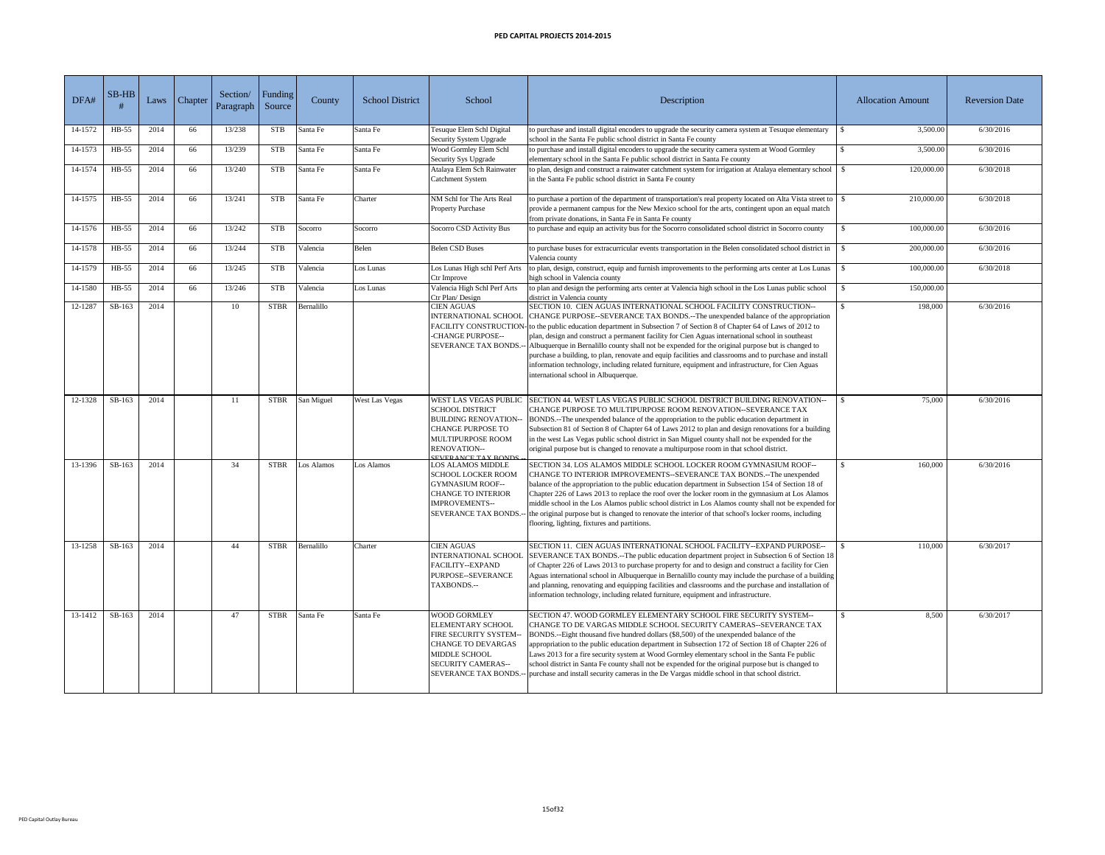| DFA#    | $SB-HB$  | Laws | Chapter <sup>'</sup> | Section/<br>Paragraph | Funding<br>Source | County     | <b>School District</b> | School                                                                                                                                                                                              | Description                                                                                                                                                                                                                                                                                                                                                                                                                                                                                                                                                                                                                                                                                                                                                              | <b>Allocation Amount</b> | <b>Reversion Date</b> |
|---------|----------|------|----------------------|-----------------------|-------------------|------------|------------------------|-----------------------------------------------------------------------------------------------------------------------------------------------------------------------------------------------------|--------------------------------------------------------------------------------------------------------------------------------------------------------------------------------------------------------------------------------------------------------------------------------------------------------------------------------------------------------------------------------------------------------------------------------------------------------------------------------------------------------------------------------------------------------------------------------------------------------------------------------------------------------------------------------------------------------------------------------------------------------------------------|--------------------------|-----------------------|
| 14-1572 | HB-55    | 2014 | 66                   | 13/238                | <b>STB</b>        | Santa Fe   | Santa Fe               | Tesuque Elem Schl Digital<br>Security System Upgrade                                                                                                                                                | to purchase and install digital encoders to upgrade the security camera system at Tesuque elementary<br>school in the Santa Fe public school district in Santa Fe county                                                                                                                                                                                                                                                                                                                                                                                                                                                                                                                                                                                                 | 3,500.00                 | 6/30/2016             |
| 14-1573 | $HB-55$  | 2014 | 66                   | 13/239                | <b>STB</b>        | Santa Fe   | Santa Fe               | Wood Gormley Elem Schl<br><b>Security Sys Upgrade</b>                                                                                                                                               | to purchase and install digital encoders to upgrade the security camera system at Wood Gormley<br>elementary school in the Santa Fe public school district in Santa Fe county                                                                                                                                                                                                                                                                                                                                                                                                                                                                                                                                                                                            | 3,500.00                 | 6/30/2016             |
| 14-1574 | HB-55    | 2014 | 66                   | 13/240                | <b>STB</b>        | Santa Fe   | Santa Fe               | Atalaya Elem Sch Rainwater<br><b>Catchment System</b>                                                                                                                                               | to plan, design and construct a rainwater catchment system for irrigation at Atalaya elementary school<br>in the Santa Fe public school district in Santa Fe county                                                                                                                                                                                                                                                                                                                                                                                                                                                                                                                                                                                                      | 120,000.00               | 6/30/2018             |
| 14-1575 | $HB-55$  | 2014 | 66                   | 13/241                | <b>STB</b>        | Santa Fe   | Charter                | NM Schl for The Arts Real<br><b>Property Purchase</b>                                                                                                                                               | to purchase a portion of the department of transportation's real property located on Alta Vista street to<br>provide a permanent campus for the New Mexico school for the arts, contingent upon an equal match<br>from private donations, in Santa Fe in Santa Fe county                                                                                                                                                                                                                                                                                                                                                                                                                                                                                                 | 210,000.00               | 6/30/2018             |
| 14-1576 | HB-55    | 2014 | 66                   | 13/242                | <b>STB</b>        | Socorro    | Socorro                | Socorro CSD Activity Bus                                                                                                                                                                            | to purchase and equip an activity bus for the Socorro consolidated school district in Socorro county                                                                                                                                                                                                                                                                                                                                                                                                                                                                                                                                                                                                                                                                     | 100,000.00               | 6/30/2016             |
| 14-1578 | $HB-55$  | 2014 | 66                   | 13/244                | <b>STB</b>        | Valencia   | Belen                  | <b>Belen CSD Buses</b>                                                                                                                                                                              | to purchase buses for extracurricular events transportation in the Belen consolidated school district in<br>Valencia county                                                                                                                                                                                                                                                                                                                                                                                                                                                                                                                                                                                                                                              | 200,000.00               | 6/30/2016             |
| 14-1579 | HB-55    | 2014 | 66                   | 13/245                | <b>STB</b>        | Valencia   | Los Lunas              | Los Lunas High schl Perf Arts<br>Ctr Improve                                                                                                                                                        | to plan, design, construct, equip and furnish improvements to the performing arts center at Los Lunas<br>high school in Valencia county                                                                                                                                                                                                                                                                                                                                                                                                                                                                                                                                                                                                                                  | 100,000.00               | 6/30/2018             |
| 14-1580 | $HB-55$  | 2014 | 66                   | 13/246                | <b>STB</b>        | Valencia   | Los Lunas              | Valencia High Schl Perf Arts<br>Ctr Plan/Design                                                                                                                                                     | to plan and design the performing arts center at Valencia high school in the Los Lunas public school<br>district in Valencia county                                                                                                                                                                                                                                                                                                                                                                                                                                                                                                                                                                                                                                      | 150,000.00               |                       |
| 12-1287 | SB-163   | 2014 |                      | 10                    | <b>STBR</b>       | Bernalillo |                        | <b>CIEN AGUAS</b><br>-CHANGE PURPOSE--<br><b>SEVERANCE TAX BONDS.--</b>                                                                                                                             | SECTION 10. CIEN AGUAS INTERNATIONAL SCHOOL FACILITY CONSTRUCTION--<br>INTERNATIONAL SCHOOL CHANGE PURPOSE--SEVERANCE TAX BONDS.--The unexpended balance of the appropriation<br>FACILITY CONSTRUCTION- to the public education department in Subsection 7 of Section 8 of Chapter 64 of Laws of 2012 to<br>plan, design and construct a permanent facility for Cien Aguas international school in southeast<br>Albuquerque in Bernalillo county shall not be expended for the original purpose but is changed to<br>purchase a building, to plan, renovate and equip facilities and classrooms and to purchase and install<br>information technology, including related furniture, equipment and infrastructure, for Cien Aguas<br>international school in Albuquerque. | 198,000                  | 6/30/2016             |
| 12-1328 | SB-163   | 2014 |                      | 11                    | <b>STBR</b>       | San Miguel | West Las Vegas         | <b>WEST LAS VEGAS PUBLIC</b><br><b>SCHOOL DISTRICT</b><br><b>BUILDING RENOVATION--</b><br><b>CHANGE PURPOSE TO</b><br><b>MULTIPURPOSE ROOM</b><br><b>RENOVATION--</b><br><b>SEVERANCE TAX RONDS</b> | SECTION 44. WEST LAS VEGAS PUBLIC SCHOOL DISTRICT BUILDING RENOVATION--<br>CHANGE PURPOSE TO MULTIPURPOSE ROOM RENOVATION--SEVERANCE TAX<br>BONDS.--The unexpended balance of the appropriation to the public education department in<br>Subsection 81 of Section 8 of Chapter 64 of Laws 2012 to plan and design renovations for a building<br>in the west Las Vegas public school district in San Miguel county shall not be expended for the<br>original purpose but is changed to renovate a multipurpose room in that school district.                                                                                                                                                                                                                              | 75,000                   | 6/30/2016             |
| 13-1396 | $SB-163$ | 2014 |                      | 34                    | <b>STBR</b>       | Los Alamos | Los Alamos             | <b>LOS ALAMOS MIDDLE</b><br><b>SCHOOL LOCKER ROOM</b><br><b>GYMNASIUM ROOF--</b><br><b>CHANGE TO INTERIOR</b><br><b>IMPROVEMENTS--</b><br><b>SEVERANCE TAX BONDS.--</b>                             | SECTION 34. LOS ALAMOS MIDDLE SCHOOL LOCKER ROOM GYMNASIUM ROOF--<br>CHANGE TO INTERIOR IMPROVEMENTS--SEVERANCE TAX BONDS.--The unexpended<br>balance of the appropriation to the public education department in Subsection 154 of Section 18 of<br>Chapter 226 of Laws 2013 to replace the roof over the locker room in the gymnasium at Los Alamos<br>middle school in the Los Alamos public school district in Los Alamos county shall not be expended for<br>the original purpose but is changed to renovate the interior of that school's locker rooms, including<br>flooring, lighting, fixtures and partitions.                                                                                                                                                   | 160,000                  | 6/30/2016             |
| 13-1258 | SB-163   | 2014 |                      | 44                    | <b>STBR</b>       | Bernalillo | Charter                | <b>CIEN AGUAS</b><br><b>FACILITY--EXPAND</b><br>PURPOSE--SEVERANCE<br>TAXBONDS.--                                                                                                                   | SECTION 11. CIEN AGUAS INTERNATIONAL SCHOOL FACILITY--EXPAND PURPOSE--<br>INTERNATIONAL SCHOOL SEVERANCE TAX BONDS.--The public education department project in Subsection 6 of Section 18<br>of Chapter 226 of Laws 2013 to purchase property for and to design and construct a facility for Cien<br>Aguas international school in Albuquerque in Bernalillo county may include the purchase of a building<br>and planning, renovating and equipping facilities and classrooms and the purchase and installation of<br>information technology, including related furniture, equipment and infrastructure.                                                                                                                                                               | 110,000                  | 6/30/2017             |
| 13-1412 | SB-163   | 2014 |                      | 47                    | <b>STBR</b>       | Santa Fe   | Santa Fe               | <b>WOOD GORMLEY</b><br><b>ELEMENTARY SCHOOL</b><br><b>FIRE SECURITY SYSTEM--</b><br><b>CHANGE TO DEVARGAS</b><br><b>MIDDLE SCHOOL</b><br><b>SECURITY CAMERAS--</b>                                  | SECTION 47. WOOD GORMLEY ELEMENTARY SCHOOL FIRE SECURITY SYSTEM--<br>CHANGE TO DE VARGAS MIDDLE SCHOOL SECURITY CAMERAS--SEVERANCE TAX<br>BONDS.--Eight thousand five hundred dollars (\$8,500) of the unexpended balance of the<br>appropriation to the public education department in Subsection 172 of Section 18 of Chapter 226 of<br>Laws 2013 for a fire security system at Wood Gormley elementary school in the Santa Fe public<br>school district in Santa Fe county shall not be expended for the original purpose but is changed to<br>SEVERANCE TAX BONDS.-- purchase and install security cameras in the De Vargas middle school in that school district.                                                                                                   | 8,500                    | 6/30/2017             |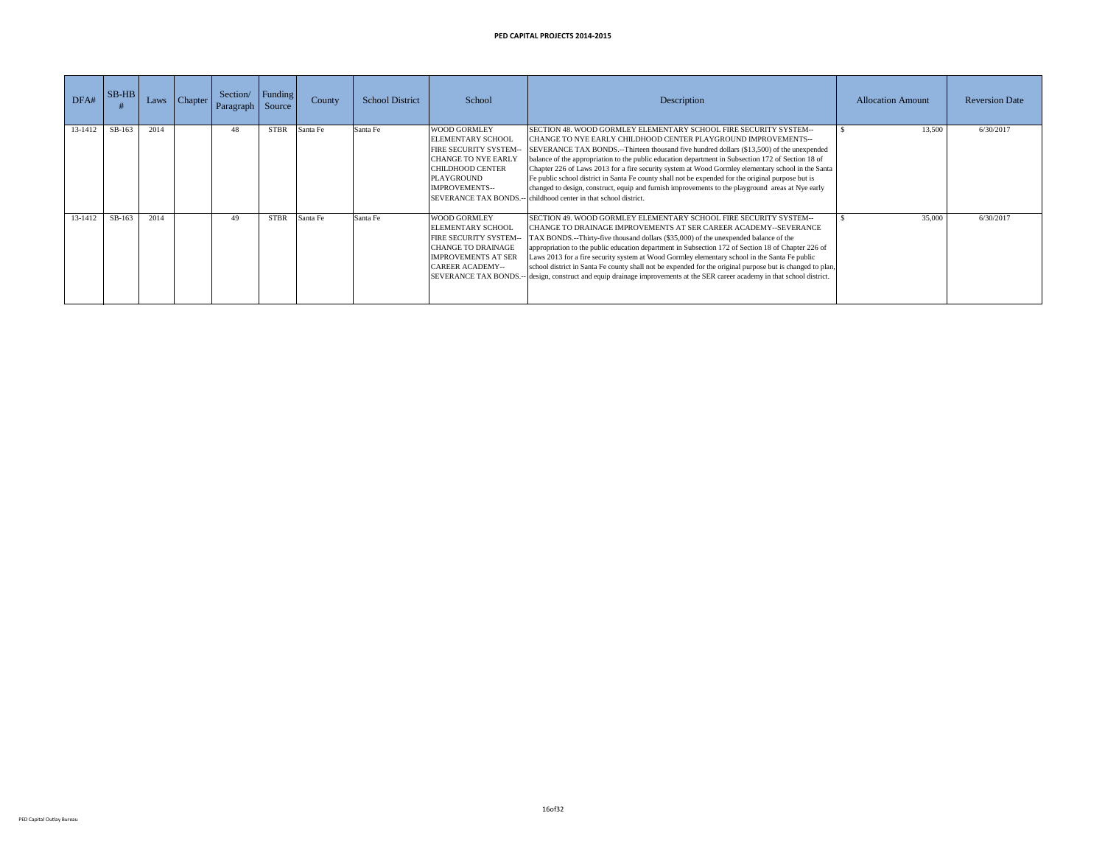| DFA#    | $SB-HB$ | Laws | Chapter l | Section/<br>Paragraph | Funding V<br>Source | County   | <b>School District</b> | School                                                                                                                                                                           | Description                                                                                                                                                                                                                                                                                                                                                                                                                                                                                                                                                                                                                                                                                                                 | <b>Allocation Amount</b> | <b>Reversion Date</b> |
|---------|---------|------|-----------|-----------------------|---------------------|----------|------------------------|----------------------------------------------------------------------------------------------------------------------------------------------------------------------------------|-----------------------------------------------------------------------------------------------------------------------------------------------------------------------------------------------------------------------------------------------------------------------------------------------------------------------------------------------------------------------------------------------------------------------------------------------------------------------------------------------------------------------------------------------------------------------------------------------------------------------------------------------------------------------------------------------------------------------------|--------------------------|-----------------------|
| 13-1412 | SB-163  | 2014 |           | 48                    | <b>STBR</b>         | Santa Fe | Santa Fe               | <b>WOOD GORMLEY</b><br><b>ELEMENTARY SCHOOL</b><br><b>FIRE SECURITY SYSTEM--</b><br><b>CHANGE TO NYE EARLY</b><br><b>CHILDHOOD CENTER</b><br>PLAYGROUND<br><b>IMPROVEMENTS--</b> | SECTION 48. WOOD GORMLEY ELEMENTARY SCHOOL FIRE SECURITY SYSTEM--<br>CHANGE TO NYE EARLY CHILDHOOD CENTER PLAYGROUND IMPROVEMENTS--<br>SEVERANCE TAX BONDS.--Thirteen thousand five hundred dollars (\$13,500) of the unexpended<br>balance of the appropriation to the public education department in Subsection 172 of Section 18 of<br>Chapter 226 of Laws 2013 for a fire security system at Wood Gormley elementary school in the Santa<br>Fe public school district in Santa Fe county shall not be expended for the original purpose but is<br>changed to design, construct, equip and furnish improvements to the playground areas at Nye early<br>SEVERANCE TAX BONDS.-- childhood center in that school district. | 13,500                   | 6/30/2017             |
| 13-1412 | SB-163  | 2014 |           | 49                    | <b>STBR</b>         | Santa Fe | Santa Fe               | <b>WOOD GORMLEY</b><br><b>ELEMENTARY SCHOOL</b><br><b>FIRE SECURITY SYSTEM--</b><br><b>CHANGE TO DRAINAGE</b><br><b>IMPROVEMENTS AT SER</b><br><b>CAREER ACADEMY--</b>           | SECTION 49. WOOD GORMLEY ELEMENTARY SCHOOL FIRE SECURITY SYSTEM--<br>CHANGE TO DRAINAGE IMPROVEMENTS AT SER CAREER ACADEMY--SEVERANCE<br>TAX BONDS.--Thirty-five thousand dollars (\$35,000) of the unexpended balance of the<br>appropriation to the public education department in Subsection 172 of Section 18 of Chapter 226 of<br>Laws 2013 for a fire security system at Wood Gormley elementary school in the Santa Fe public<br>school district in Santa Fe county shall not be expended for the original purpose but is changed to plan,<br>SEVERANCE TAX BONDS.-- design, construct and equip drainage improvements at the SER career academy in that school district.                                            | 35,000                   | 6/30/2017             |